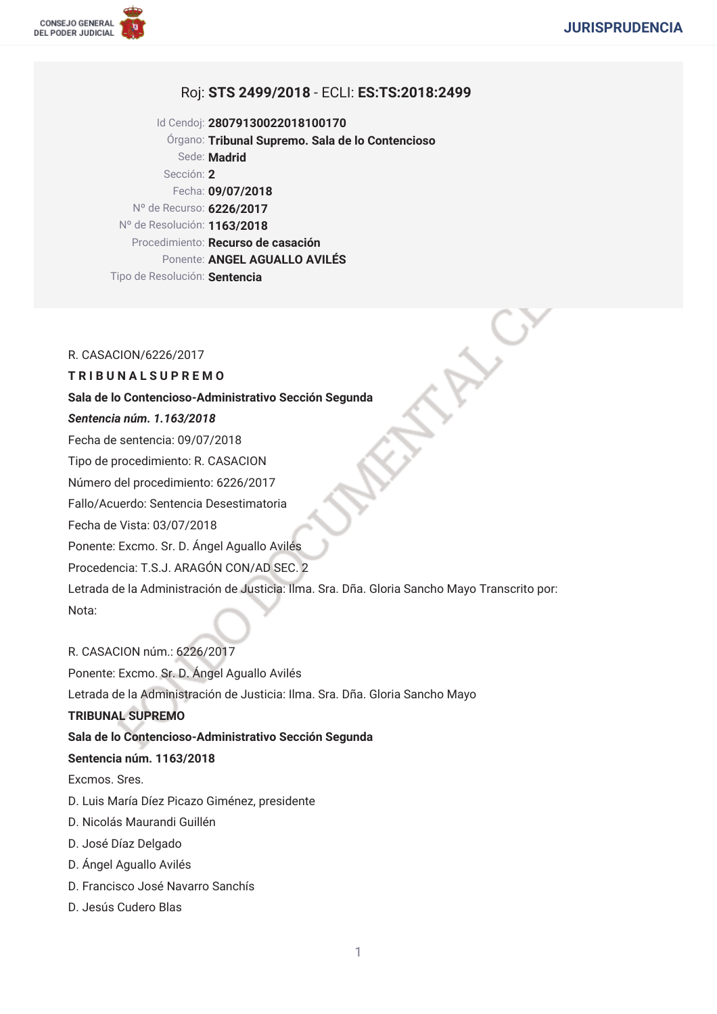

# Roj: STS 2499/2018 - ECLI: ES:TS:2018:2499

Id Cendoj: 28079130022018100170 Órgano: Tribunal Supremo. Sala de lo Contencioso Sede: Madrid Sección: 2 Fecha: 09/07/2018 Nº de Recurso: 6226/2017 Nº de Resolución: 1163/2018 Procedimiento: Recurso de casación Ponente: ANGEL AGUALLO AVILÉS Tipo de Resolución: Sentencia

### R. CASACION/6226/2017

# **TRIBUNALSUPREMO**

#### Sala de lo Contencioso-Administrativo Sección Segunda

# Sentencia núm. 1.163/2018

Fecha de sentencia: 09/07/2018

Tipo de procedimiento: R. CASACION

Número del procedimiento: 6226/2017

Fallo/Acuerdo: Sentencia Desestimatoria

Fecha de Vista: 03/07/2018

Ponente: Excmo. Sr. D. Ángel Aguallo Avilés

Procedencia: T.S.J. ARAGÓN CON/AD SEC. 2

Letrada de la Administración de Justicia: Ilma. Sra. Dña. Gloria Sancho Mayo Transcrito por: Nota:

R. CASACION núm.: 6226/2017 Ponente: Excmo. Sr. D. Ángel Aguallo Avilés Letrada de la Administración de Justicia: Ilma. Sra. Dña. Gloria Sancho Mayo **TRIBUNAL SUPREMO** Sala de lo Contencioso-Administrativo Sección Segunda Sentencia núm. 1163/2018 Excmos, Sres. D. Luis María Díez Picazo Giménez, presidente D. Nicolás Maurandi Guillén D. José Díaz Delgado D. Ángel Aguallo Avilés

- D. Francisco José Navarro Sanchís
- D. Jesús Cudero Blas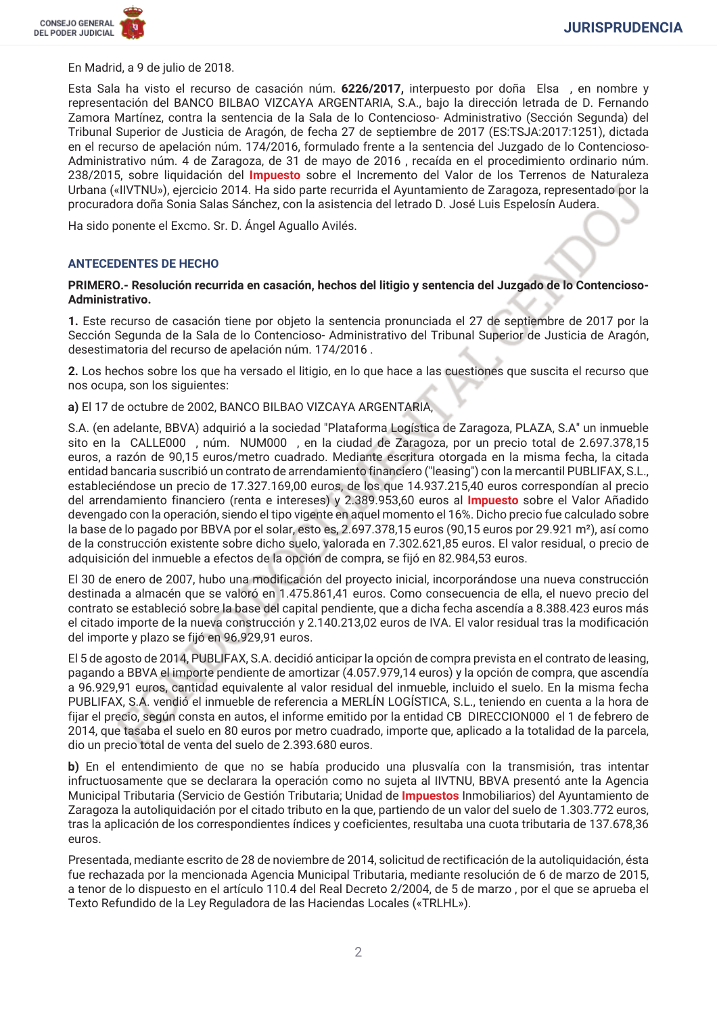

En Madrid, a 9 de julio de 2018.

Esta Sala ha visto el recurso de casación núm. 6226/2017, interpuesto por doña Elsa, en nombre y representación del BANCO BILBAO VIZCAYA ARGENTARIA, S.A., bajo la dirección letrada de D. Fernando Zamora Martínez, contra la sentencia de la Sala de lo Contencioso-Administrativo (Sección Segunda) del Tribunal Superior de Justicia de Aragón, de fecha 27 de septiembre de 2017 (ES:TSJA:2017:1251), dictada en el recurso de apelación núm. 174/2016, formulado frente a la sentencia del Juzgado de lo Contencioso-Administrativo núm. 4 de Zaragoza, de 31 de mayo de 2016, recaída en el procedimiento ordinario núm. 238/2015, sobre liquidación del *Impuesto* sobre el Incremento del Valor de los Terrenos de Naturaleza Urbana («IIVTNU»), ejercicio 2014. Ha sido parte recurrida el Ayuntamiento de Zaragoza, representado por la procuradora doña Sonia Salas Sánchez, con la asistencia del letrado D. José Luis Espelosín Audera.

Ha sido ponente el Excmo. Sr. D. Ángel Aguallo Avilés.

#### **ANTECEDENTES DE HECHO**

#### PRIMERO.- Resolución recurrida en casación, hechos del litigio y sentencia del Juzgado de lo Contencioso-Administrativo.

1. Este recurso de casación tiene por objeto la sentencia pronunciada el 27 de septiembre de 2017 por la Sección Segunda de la Sala de lo Contencioso-Administrativo del Tribunal Superior de Justicia de Aragón, desestimatoria del recurso de apelación núm. 174/2016.

2. Los hechos sobre los que ha versado el litigio, en lo que hace a las cuestiones que suscita el recurso que nos ocupa, son los siguientes:

a) El 17 de octubre de 2002, BANCO BILBAO VIZCAYA ARGENTARIA,

S.A. (en adelante, BBVA) adquirió a la sociedad "Plataforma Logística de Zaragoza, PLAZA, S.A" un inmueble sito en la CALLE000, núm. NUM000, en la ciudad de Zaragoza, por un precio total de 2.697.378,15 euros, a razón de 90,15 euros/metro cuadrado. Mediante escritura otorgada en la misma fecha, la citada entidad bancaria suscribió un contrato de arrendamiento financiero ("leasing") con la mercantil PUBLIFAX, S.L., estableciéndose un precio de 17.327.169,00 euros, de los que 14.937.215,40 euros correspondían al precio del arrendamiento financiero (renta e intereses) y 2.389.953,60 euros al Impuesto sobre el Valor Añadido devengado con la operación, siendo el tipo vigente en aquel momento el 16%. Dicho precio fue calculado sobre la base de lo pagado por BBVA por el solar, esto es, 2.697.378,15 euros (90,15 euros por 29.921 m<sup>2</sup>), así como de la construcción existente sobre dicho suelo, valorada en 7.302.621,85 euros. El valor residual, o precio de adquisición del inmueble a efectos de la opción de compra, se fijó en 82.984,53 euros.

El 30 de enero de 2007, hubo una modificación del proyecto inicial, incorporándose una nueva construcción destinada a almacén que se valoró en 1.475.861,41 euros. Como consecuencia de ella, el nuevo precio del contrato se estableció sobre la base del capital pendiente, que a dicha fecha ascendía a 8.388.423 euros más el citado importe de la nueva construcción y 2.140.213,02 euros de IVA. El valor residual tras la modificación del importe y plazo se fijó en 96.929,91 euros.

El 5 de agosto de 2014, PUBLIFAX, S.A. decidió anticipar la opción de compra prevista en el contrato de leasing, pagando a BBVA el importe pendiente de amortizar (4.057.979,14 euros) y la opción de compra, que ascendía a 96.929,91 euros, cantidad equivalente al valor residual del inmueble, incluido el suelo. En la misma fecha PUBLIFAX, S.A. vendió el inmueble de referencia a MERLÍN LOGÍSTICA, S.L., teniendo en cuenta a la hora de fijar el precio, según consta en autos, el informe emitido por la entidad CB DIRECCION000 el 1 de febrero de 2014, que tasaba el suelo en 80 euros por metro cuadrado, importe que, aplicado a la totalidad de la parcela, dio un precio total de venta del suelo de 2.393.680 euros.

b) En el entendimiento de que no se había producido una plusvalía con la transmisión, tras intentar infructuosamente que se declarara la operación como no sujeta al IIVTNU, BBVA presentó ante la Agencia Municipal Tributaria (Servicio de Gestión Tributaria; Unidad de Impuestos Inmobiliarios) del Ayuntamiento de Zaragoza la autoliquidación por el citado tributo en la que, partiendo de un valor del suelo de 1.303.772 euros, tras la aplicación de los correspondientes índices y coeficientes, resultaba una cuota tributaria de 137.678,36 euros.

Presentada, mediante escrito de 28 de noviembre de 2014, solicitud de rectificación de la autoliquidación, ésta fue rechazada por la mencionada Agencia Municipal Tributaria, mediante resolución de 6 de marzo de 2015, a tenor de lo dispuesto en el artículo 110.4 del Real Decreto 2/2004, de 5 de marzo, por el que se aprueba el Texto Refundido de la Lev Reguladora de las Haciendas Locales («TRLHL»).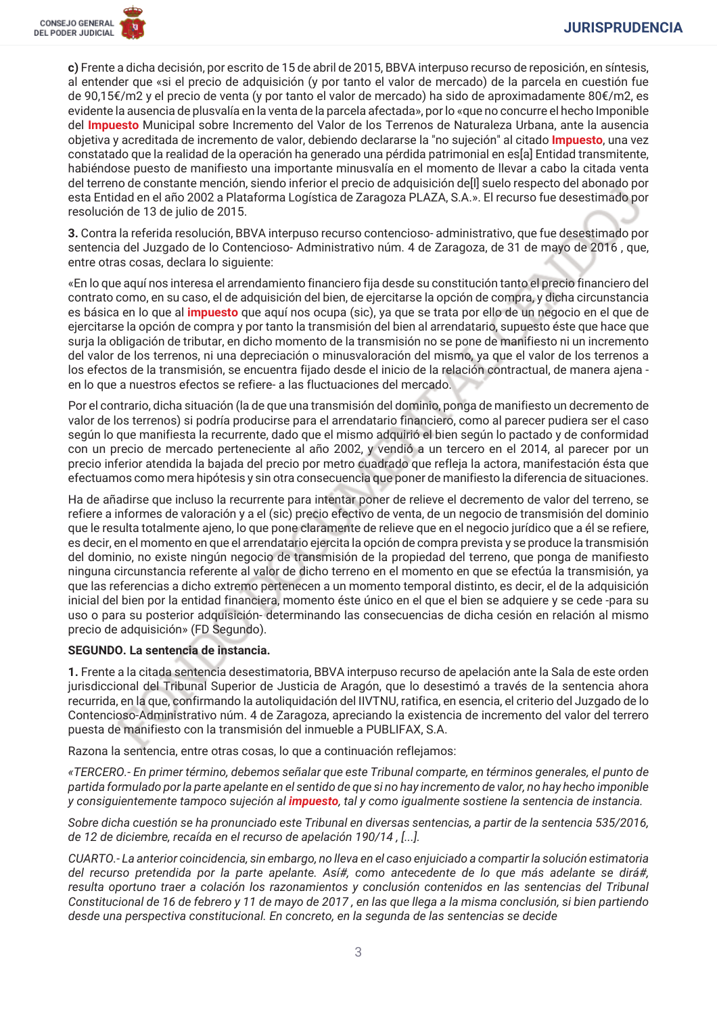c) Frente a dicha decisión, por escrito de 15 de abril de 2015, BBVA interpuso recurso de reposición, en síntesis, al entender que «si el precio de adquisición (y por tanto el valor de mercado) de la parcela en cuestión fue de 90,15€/m2 y el precio de venta (y por tanto el valor de mercado) ha sido de aproximadamente 80€/m2, es evidente la ausencia de plusvalía en la venta de la parcela afectada», por lo «que no concurre el hecho Imponible del Impuesto Municipal sobre Incremento del Valor de los Terrenos de Naturaleza Urbana, ante la ausencia obietiva y acreditada de incremento de valor, debiendo declararse la "no sujeción" al citado **Impuesto**, una vez constatado que la realidad de la operación ha generado una pérdida patrimonial en essal Entidad transmitente. habiéndose puesto de manifiesto una importante minusvalía en el momento de llevar a cabo la citada venta del terreno de constante mención, siendo inferior el precio de adquisición delll suelo respecto del abonado por esta Entidad en el año 2002 a Plataforma Logística de Zaragoza PLAZA, S.A.». El recurso fue desestimado por resolución de 13 de julio de 2015.

3. Contra la referida resolución, BBVA interpuso recurso contencioso-administrativo, que fue desestimado por sentencia del Juzgado de lo Contencioso-Administrativo núm. 4 de Zaragoza, de 31 de mayo de 2016, que, entre otras cosas, declara lo siguiente:

«En lo que aquí nos interesa el arrendamiento financiero fija desde su constitución tanto el precio financiero del contrato como, en su caso, el de adquisición del bien, de ejercitarse la opción de compra, y dicha circunstancia es básica en lo que al *impuesto* que aquí nos ocupa (sic), ya que se trata por ello de un negocio en el que de ejercitarse la opción de compra y por tanto la transmisión del bien al arrendatario, supuesto éste que hace que surja la obligación de tributar, en dicho momento de la transmisión no se pone de manifiesto ni un incremento del valor de los terrenos, ni una depreciación o minusvaloración del mismo, ya que el valor de los terrenos a los efectos de la transmisión, se encuentra fijado desde el inicio de la relación contractual, de manera ajena en lo que a nuestros efectos se refiere- a las fluctuaciones del mercado.

Por el contrario, dicha situación (la de que una transmisión del dominio, ponga de manifiesto un decremento de valor de los terrenos) si podría producirse para el arrendatario financiero, como al parecer pudiera ser el caso según lo que manifiesta la recurrente, dado que el mismo adquirió el bien según lo pactado y de conformidad con un precio de mercado perteneciente al año 2002, y vendió a un tercero en el 2014, al parecer por un precio inferior atendida la bajada del precio por metro cuadrado que refleja la actora, manifestación ésta que efectuamos como mera hipótesis y sin otra consecuencia que poner de manifiesto la diferencia de situaciones.

Ha de añadirse que incluso la recurrente para intentar poner de relieve el decremento de valor del terreno, se refiere a informes de valoración y a el (sic) precio efectivo de venta, de un negocio de transmisión del dominio que le resulta totalmente ajeno, lo que pone claramente de relieve que en el negocio jurídico que a él se refiere, es decir, en el momento en que el arrendatario ejercita la opción de compra prevista y se produce la transmisión del dominio, no existe ningún negocio de transmisión de la propiedad del terreno, que ponga de manifiesto ninguna circunstancia referente al valor de dicho terreno en el momento en que se efectúa la transmisión, ya que las referencias a dicho extremo pertenecen a un momento temporal distinto, es decir, el de la adquisición inicial del bien por la entidad financiera, momento éste único en el que el bien se adquiere y se cede-para su uso o para su posterior adquisición- determinando las consecuencias de dicha cesión en relación al mismo precio de adquisición» (FD Segundo).

## SEGUNDO. La sentencia de instancia.

1. Frente a la citada sentencia desestimatoria, BBVA interpuso recurso de apelación ante la Sala de este orden jurisdiccional del Tribunal Superior de Justicia de Aragón, que lo desestimó a través de la sentencia ahora recurrida, en la que, confirmando la autoliquidación del IIVTNU, ratifica, en esencia, el criterio del Juzgado de lo Contencioso-Administrativo núm. 4 de Zaragoza, apreciando la existencia de incremento del valor del terrero puesta de manifiesto con la transmisión del inmueble a PUBLIFAX, S.A.

Razona la sentencia, entre otras cosas, lo que a continuación reflejamos:

«TERCERO.- En primer término, debemos señalar que este Tribunal comparte, en términos generales, el punto de partida formulado por la parte apelante en el sentido de que si no hay incremento de valor, no hay hecho imponible y consiguientemente tampoco sujeción al *impuesto*, tal y como igualmente sostiene la sentencia de instancia.

Sobre dicha cuestión se ha pronunciado este Tribunal en diversas sentencias, a partir de la sentencia 535/2016, de 12 de diciembre, recaída en el recurso de apelación 190/14, [...].

CUARTO.-La anterior coincidencia, sin embargo, no lleva en el caso eniuiciado a compartir la solución estimatoria del recurso pretendida por la parte apelante. Así#, como antecedente de lo que más adelante se dirá#, resulta oportuno traer a colación los razonamientos y conclusión contenidos en las sentencias del Tribunal Constitucional de 16 de febrero y 11 de mayo de 2017, en las que llega a la misma conclusión, si bien partiendo desde una perspectiva constitucional. En concreto, en la segunda de las sentencias se decide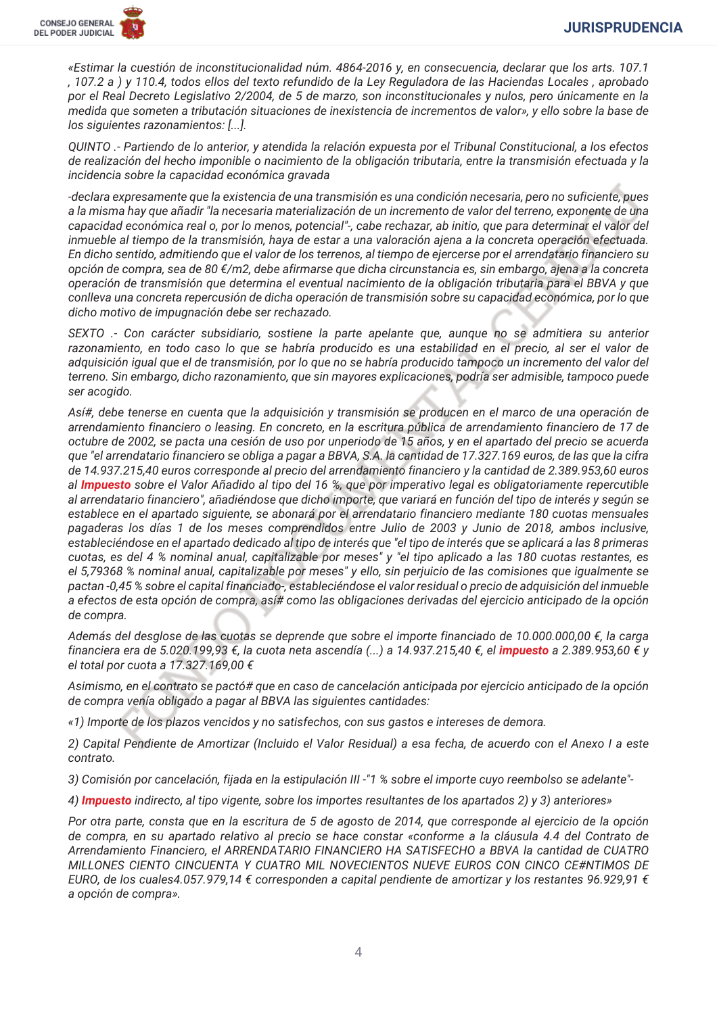«Estimar la cuestión de inconstitucionalidad núm. 4864-2016 y, en consecuencia, declarar que los arts, 107.1 , 107.2 a) y 110.4, todos ellos del texto refundido de la Ley Reguladora de las Haciendas Locales, aprobado por el Real Decreto Legislativo 2/2004, de 5 de marzo, son inconstitucionales y nulos, pero únicamente en la medida que someten a tributación situaciones de inexistencia de incrementos de valor», y ello sobre la base de los siguientes razonamientos: [...].

QUINTO .- Partiendo de lo anterior, y atendida la relación expuesta por el Tribunal Constitucional, a los efectos de realización del hecho imponible o nacimiento de la obligación tributaria, entre la transmisión efectuada y la incidencia sobre la capacidad económica gravada

-declara expresamente que la existencia de una transmisión es una condición necesaria, pero no suficiente, pues a la misma hay que añadir "la necesaria materialización de un incremento de valor del terreno, exponente de una capacidad económica real o, por lo menos, potencial"-, cabe rechazar, ab initio, que para determinar el valor del inmueble al tiempo de la transmisión, haya de estar a una valoración ajena a la concreta operación efectuada. En dicho sentido, admitiendo que el valor de los terrenos, al tiempo de ejercerse por el arrendatario financiero su opción de compra, sea de 80 €/m2, debe afirmarse que dicha circunstancia es, sin embargo, ajena a la concreta operación de transmisión que determina el eventual nacimiento de la obligación tributaria para el BBVA y que conlleva una concreta repercusión de dicha operación de transmisión sobre su capacidad económica, por lo que dicho motivo de impugnación debe ser rechazado.

SEXTO .- Con carácter subsidiario, sostiene la parte apelante que, aunque no se admitiera su anterior razonamiento, en todo caso lo que se habría producido es una estabilidad en el precio, al ser el valor de adquisición igual que el de transmisión, por lo que no se habría producido tampoco un incremento del valor del terreno. Sin embargo, dicho razonamiento, que sin mayores explicaciones, podría ser admisible, tampoco puede ser acogido.

Así#, debe tenerse en cuenta que la adquisición y transmisión se producen en el marco de una operación de arrendamiento financiero o leasing. En concreto, en la escritura pública de arrendamiento financiero de 17 de octubre de 2002, se pacta una cesión de uso por unperiodo de 15 años, y en el apartado del precio se acuerda que "el arrendatario financiero se obliga a pagar a BBVA, S.A. la cantidad de 17.327.169 euros, de las que la cifra de 14.937.215,40 euros corresponde al precio del arrendamiento financiero y la cantidad de 2.389.953,60 euros al Impuesto sobre el Valor Añadido al tipo del 16 %, que por imperativo legal es obligatoriamente repercutible al arrendatario financiero", añadiéndose que dicho importe, que variará en función del tipo de interés y según se establece en el apartado siguiente, se abonará por el arrendatario financiero mediante 180 cuotas mensuales pagaderas los días 1 de los meses comprendidos entre Julio de 2003 y Junio de 2018, ambos inclusive, estableciéndose en el apartado dedicado al tipo de interés que "el tipo de interés que se aplicará a las 8 primeras cuotas, es del 4 % nominal anual, capitalizable por meses" y "el tipo aplicado a las 180 cuotas restantes, es el 5,79368 % nominal anual, capitalizable por meses" y ello, sin perjuicio de las comisiones que igualmente se pactan -0,45 % sobre el capital financiado-, estableciéndose el valor residual o precio de adquisición del inmueble a efectos de esta opción de compra, así# como las obligaciones derivadas del ejercicio anticipado de la opción de compra.

Además del desglose de las cuotas se deprende que sobre el importe financiado de 10.000.000,00 €, la carga financiera era de 5.020.199,93 €, la cuota neta ascendía (...) a 14.937.215,40 €, el impuesto a 2.389.953,60 € y el total por cuota a 17.327.169,00 €

Asimismo, en el contrato se pactó# que en caso de cancelación anticipada por ejercicio anticipado de la opción de compra venía obligado a pagar al BBVA las siguientes cantidades:

«1) Importe de los plazos vencidos y no satisfechos, con sus gastos e intereses de demora.

2) Capital Pendiente de Amortizar (Incluido el Valor Residual) a esa fecha, de acuerdo con el Anexo I a este contrato.

3) Comisión por cancelación, fijada en la estipulación III -"1 % sobre el importe cuyo reembolso se adelante"-

4) **Impuesto** indirecto, al tipo vigente, sobre los importes resultantes de los apartados 2) v 3) anteriores»

Por otra parte, consta que en la escritura de 5 de agosto de 2014, que corresponde al ejercicio de la opción de compra, en su apartado relativo al precio se hace constar «conforme a la cláusula 4.4 del Contrato de Arrendamiento Financiero, el ARRENDATARIO FINANCIERO HA SATISFECHO a BBVA la cantidad de CUATRO MILLONES CIENTO CINCUENTA Y CUATRO MIL NOVECIENTOS NUEVE EUROS CON CINCO CE#NTIMOS DE EURO, de los cuales4.057.979,14 € corresponden a capital pendiente de amortizar y los restantes 96.929,91 € a opción de compra».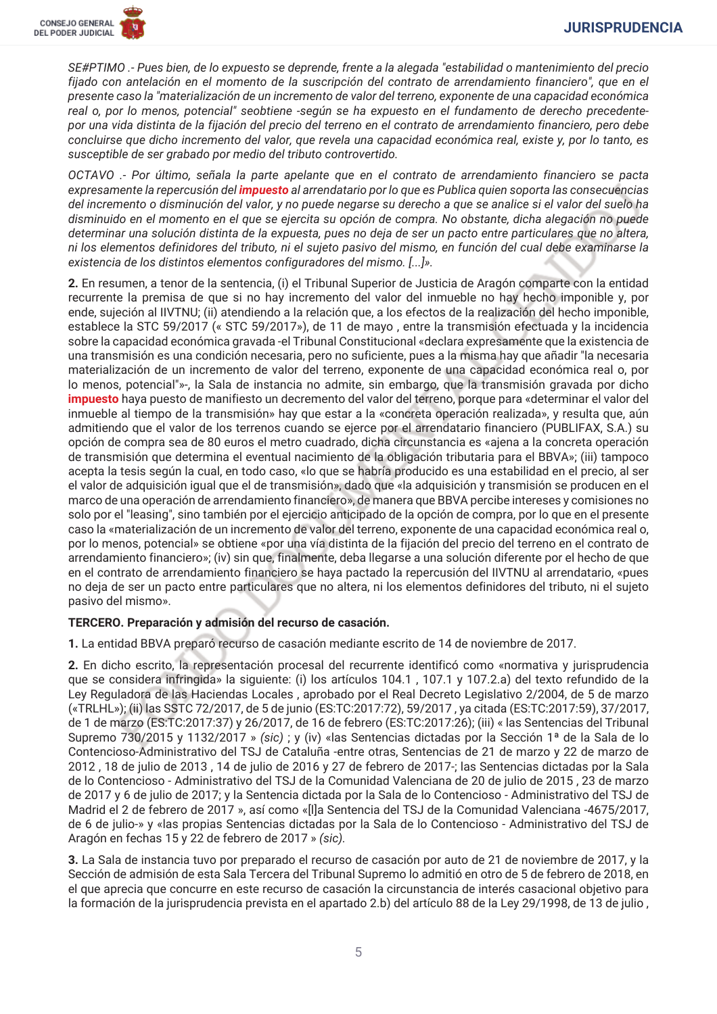SE#PTIMO .- Pues bien, de lo expuesto se deprende, frente a la alegada "estabilidad o mantenimiento del precio fijado con antelación en el momento de la suscripción del contrato de arrendamiento financiero", que en el presente caso la "materialización de un incremento de valor del terreno, exponente de una capacidad económica real o, por lo menos, potencial" seobtiene -según se ha expuesto en el fundamento de derecho precedentepor una vida distinta de la fijación del precio del terreno en el contrato de arrendamiento financiero, pero debe concluirse que dicho incremento del valor, que revela una capacidad económica real, existe y, por lo tanto, es susceptible de ser grabado por medio del tributo controvertido.

OCTAVO .- Por último, señala la parte apelante que en el contrato de arrendamiento financiero se pacta expresamente la repercusión del impuesto al arrendatario por lo que es Publica quien soporta las consecuencias del incremento o disminución del valor, y no puede negarse su derecho a que se analice si el valor del suelo ha disminuido en el momento en el que se ejercita su opción de compra. No obstante, dicha alegación no puede determinar una solución distinta de la expuesta, pues no deja de ser un pacto entre particulares que no altera, ni los elementos definidores del tributo, ni el sujeto pasivo del mismo, en función del cual debe examinarse la existencia de los distintos elementos configuradores del mismo. [...]».

2. En resumen, a tenor de la sentencia, (i) el Tribunal Superior de Justicia de Aragón comparte con la entidad recurrente la premisa de que si no hay incremento del valor del inmueble no hay hecho imponible y, por ende, sujeción al IIVTNU; (ii) atendiendo a la relación que, a los efectos de la realización del hecho imponible, establece la STC 59/2017 (« STC 59/2017»), de 11 de mayo, entre la transmisión efectuada y la incidencia sobre la capacidad económica gravada -el Tribunal Constitucional «declara expresamente que la existencia de una transmisión es una condición necesaria, pero no suficiente, pues a la misma hay que añadir "la necesaria materialización de un incremento de valor del terreno, exponente de una capacidad económica real o, por lo menos, potencial"»-, la Sala de instancia no admite, sin embargo, que la transmisión gravada por dicho impuesto haya puesto de manifiesto un decremento del valor del terreno, porque para «determinar el valor del inmueble al tiempo de la transmisión» hay que estar a la «concreta operación realizada», y resulta que, aún admitiendo que el valor de los terrenos cuando se ejerce por el arrendatario financiero (PUBLIFAX, S.A.) su opción de compra sea de 80 euros el metro cuadrado, dicha circunstancia es «ajena a la concreta operación de transmisión que determina el eventual nacimiento de la obligación tributaria para el BBVA»; (iii) tampoco acepta la tesis según la cual, en todo caso, «lo que se habría producido es una estabilidad en el precio, al ser el valor de adquisición igual que el de transmisión», dado que «la adquisición y transmisión se producen en el marco de una operación de arrendamiento financiero», de manera que BBVA percibe intereses y comisiones no solo por el "leasing", sino también por el ejercicio anticipado de la opción de compra, por lo que en el presente caso la «materialización de un incremento de valor del terreno, exponente de una capacidad económica real o, por lo menos, potencial» se obtiene «por una vía distinta de la fijación del precio del terreno en el contrato de arrendamiento financiero»; (iv) sin que, finalmente, deba llegarse a una solución diferente por el hecho de que en el contrato de arrendamiento financiero se haya pactado la repercusión del IIVTNU al arrendatario, «pues no deja de ser un pacto entre particulares que no altera, ni los elementos definidores del tributo, ni el sujeto pasivo del mismo».

## TERCERO. Preparación y admisión del recurso de casación.

1. La entidad BBVA preparó recurso de casación mediante escrito de 14 de noviembre de 2017.

2. En dicho escrito, la representación procesal del recurrente identificó como «normativa y jurisprudencia que se considera infringida» la siguiente: (i) los artículos 104.1, 107.1 y 107.2, a) del texto refundido de la Ley Reguladora de las Haciendas Locales, aprobado por el Real Decreto Legislativo 2/2004, de 5 de marzo («TRLHL»); (ii) las SSTC 72/2017, de 5 de junio (ES:TC:2017:72), 59/2017, ya citada (ES:TC:2017:59), 37/2017, de 1 de marzo (ES:TC:2017:37) y 26/2017, de 16 de febrero (ES:TC:2017:26); (iii) « las Sentencias del Tribunal Supremo 730/2015 y 1132/2017 » (sic) ; y (iv) «las Sentencias dictadas por la Sección 1ª de la Sala de lo Contencioso-Administrativo del TSJ de Cataluña -entre otras, Sentencias de 21 de marzo y 22 de marzo de 2012, 18 de julio de 2013, 14 de julio de 2016 y 27 de febrero de 2017 ; las Sentencias dictadas por la Sala de lo Contencioso - Administrativo del TSJ de la Comunidad Valenciana de 20 de julio de 2015, 23 de marzo de 2017 y 6 de julio de 2017; y la Sentencia dictada por la Sala de lo Contencioso - Administrativo del TSJ de Madrid el 2 de febrero de 2017 », así como «[I]a Sentencia del TSJ de la Comunidad Valenciana -4675/2017, de 6 de julio-» y «las propias Sentencias dictadas por la Sala de lo Contencioso - Administrativo del TSJ de Aragón en fechas 15 y 22 de febrero de 2017 » (sic).

3. La Sala de instancia tuvo por preparado el recurso de casación por auto de 21 de noviembre de 2017, y la Sección de admisión de esta Sala Tercera del Tribunal Supremo lo admitió en otro de 5 de febrero de 2018, en el que aprecia que concurre en este recurso de casación la circunstancia de interés casacional objetivo para la formación de la jurisprudencia prevista en el apartado 2.b) del artículo 88 de la Ley 29/1998, de 13 de julio,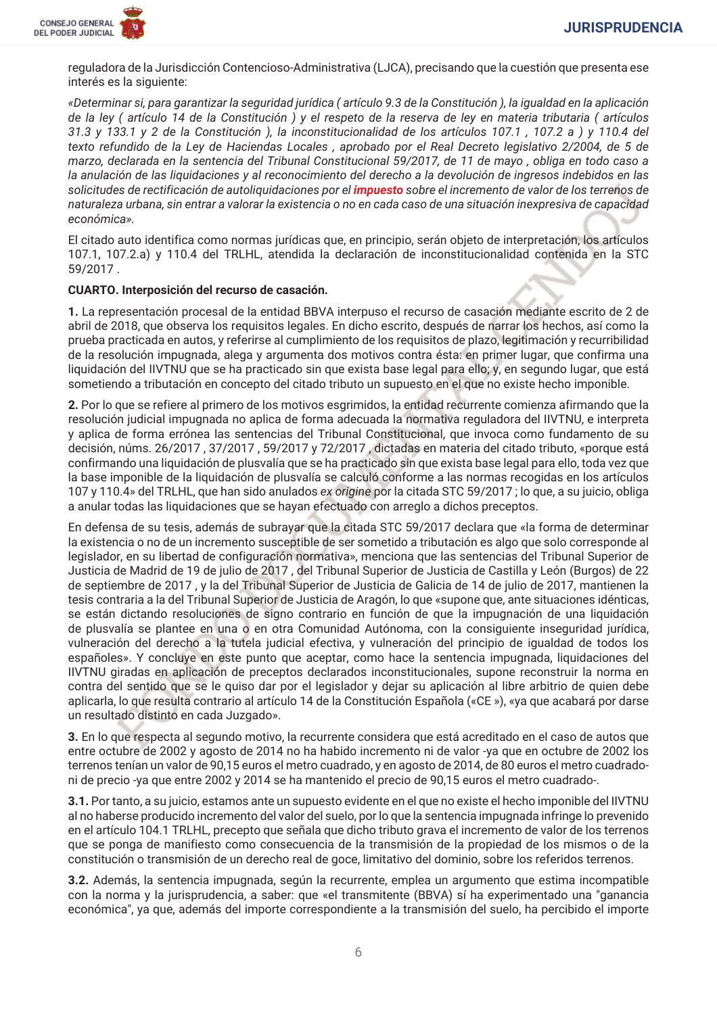

reguladora de la Jurisdicción Contencioso-Administrativa (LJCA), precisando que la cuestión que presenta ese interés es la siguiente:

«Determinar si, para garantizar la seguridad jurídica (artículo 9.3 de la Constitución), la igualdad en la aplicación de la ley (artículo 14 de la Constitución) y el respeto de la reserva de ley en materia tributaria (artículos 31.3 y 133.1 y 2 de la Constitución), la inconstitucionalidad de los artículos 107.1, 107.2 a) y 110.4 del texto refundido de la Ley de Haciendas Locales, aprobado por el Real Decreto legislativo 2/2004, de 5 de marzo, declarada en la sentencia del Tribunal Constitucional 59/2017, de 11 de mayo, obliga en todo caso a la anulación de las liguidaciones y al reconocimiento del derecho a la devolución de ingresos indebidos en las solicitudes de rectificación de autoliquidaciones por el *impuesto* sobre el incremento de valor de los terrenos de naturaleza urbana, sin entrar a valorar la existencia o no en cada caso de una situación inexpresiva de capacidad económica».

El citado auto identifica como normas jurídicas que, en principio, serán objeto de interpretación, los artículos 107.1, 107.2.a) y 110.4 del TRLHL, atendida la declaración de inconstitucionalidad contenida en la STC 59/2017.

## CUARTO. Interposición del recurso de casación.

1. La representación procesal de la entidad BBVA interpuso el recurso de casación mediante escrito de 2 de abril de 2018, que observa los requisitos legales. En dicho escrito, después de narrar los hechos, así como la prueba practicada en autos, y referirse al cumplimiento de los requisitos de plazo, legitimación y recurribilidad de la resolución impugnada, alega y argumenta dos motivos contra ésta: en primer lugar, que confirma una liquidación del IIVTNU que se ha practicado sin que exista base legal para ello; y, en segundo lugar, que está sometiendo a tributación en concepto del citado tributo un supuesto en el que no existe hecho imponible.

2. Por lo que se refiere al primero de los motivos esgrimidos, la entidad recurrente comienza afirmando que la resolución iudicial impugnada no aplica de forma adecuada la normativa reguladora del IIVTNU, e interpreta y aplica de forma errónea las sentencias del Tribunal Constitucional, que invoca como fundamento de su decisión, núms. 26/2017, 37/2017, 59/2017 y 72/2017, dictadas en materia del citado tributo, «porque está confirmando una liguidación de plusvalía que se ha practicado sin que exista base legal para ello, toda vez que la base imponible de la liguidación de plusvalía se calculó conforme a las normas recogidas en los artículos 107 y 110.4» del TRLHL, que han sido anulados ex origine por la citada STC 59/2017; lo que, a su juicio, obliga a anular todas las liquidaciones que se hayan efectuado con arreglo a dichos preceptos.

En defensa de su tesis, además de subrayar que la citada STC 59/2017 declara que «la forma de determinar la existencia o no de un incremento susceptible de ser sometido a tributación es algo que solo corresponde al legislador, en su libertad de configuración normativa», menciona que las sentencias del Tribunal Superior de Justicia de Madrid de 19 de julio de 2017, del Tribunal Superior de Justicia de Castilla y León (Burgos) de 22 de septiembre de 2017, y la del Tribunal Superior de Justicia de Galicia de 14 de julio de 2017, mantienen la tesis contraria a la del Tribunal Superior de Justicia de Aragón, lo que «supone que, ante situaciones idénticas, se están dictando resoluciones de signo contrario en función de que la impugnación de una liguidación de plusvalía se plantee en una o en otra Comunidad Autónoma, con la consiguiente inseguridad jurídica, vulneración del derecho a la tutela judicial efectiva, y vulneración del principio de igualdad de todos los españoles». Y concluye en este punto que aceptar, como hace la sentencia impugnada, liquidaciones del IIVTNU giradas en aplicación de preceptos declarados inconstitucionales, supone reconstruir la norma en contra del sentido que se le quiso dar por el legislador y dejar su aplicación al libre arbitrio de quien debe aplicarla, lo que resulta contrario al artículo 14 de la Constitución Española («CE»), «ya que acabará por darse un resultado distinto en cada Juzgado».

3. En lo que respecta al segundo motivo, la recurrente considera que está acreditado en el caso de autos que entre octubre de 2002 y agosto de 2014 no ha habido incremento ni de valor -ya que en octubre de 2002 los terrenos tenían un valor de 90,15 euros el metro cuadrado, y en agosto de 2014, de 80 euros el metro cuadradoni de precio -ya que entre 2002 y 2014 se ha mantenido el precio de 90,15 euros el metro cuadrado-.

3.1. Por tanto, a su juicio, estamos ante un supuesto evidente en el que no existe el hecho imponible del IIVTNU al no haberse producido incremento del valor del suelo, por lo que la sentencia impugnada infringe lo prevenido en el artículo 104.1 TRLHL, precepto que señala que dicho tributo grava el incremento de valor de los terrenos que se ponga de manifiesto como consecuencia de la transmisión de la propiedad de los mismos o de la constitución o transmisión de un derecho real de goce, limitativo del dominio, sobre los referidos terrenos.

3.2. Además, la sentencia impugnada, según la recurrente, emplea un argumento que estima incompatible con la norma y la jurisprudencia, a saber: que «el transmitente (BBVA) sí ha experimentado una "ganancia" económica", ya que, además del importe correspondiente a la transmisión del suelo, ha percibido el importe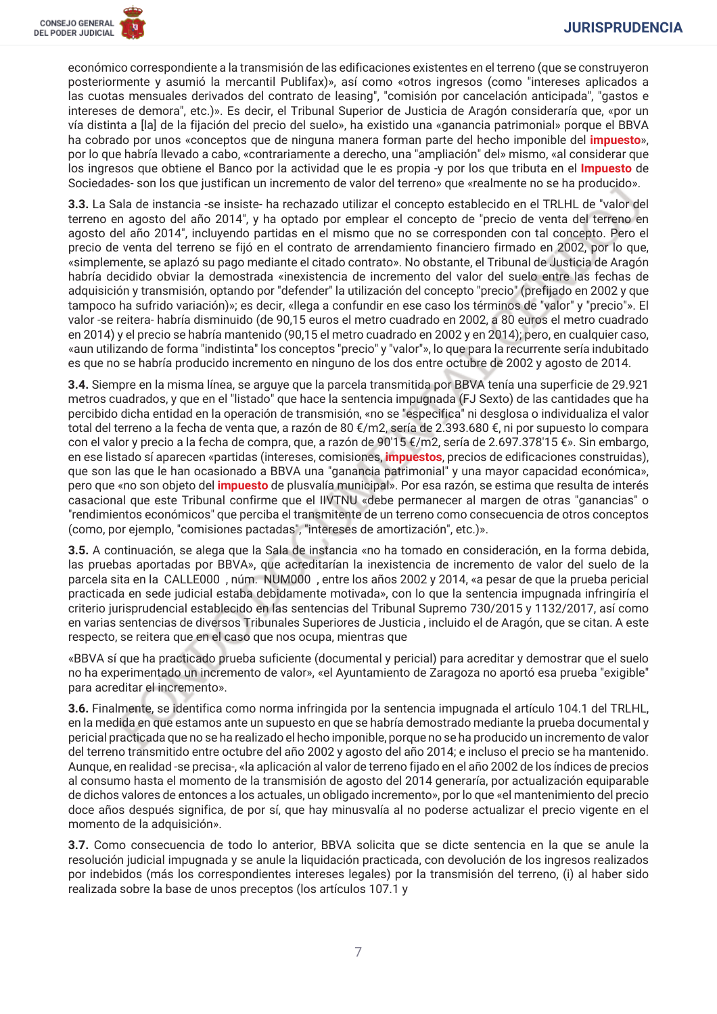económico correspondiente a la transmisión de las edificaciones existentes en el terreno (que se construveron posteriormente y asumió la mercantil Publifax)», así como «otros ingresos (como "intereses aplicados a las cuotas mensuales derivados del contrato de leasing", "comisión por cancelación anticipada", "gastos e intereses de demora", etc.)». Es decir, el Tribunal Superior de Justicia de Aragón consideraría que, «por un vía distinta a [la] de la fijación del precio del suelo», ha existido una «ganancia patrimonial» porque el BBVA ha cobrado por unos «conceptos que de ninguna manera forman parte del hecho imponible del *impuesto»*. por lo que habría llevado a cabo, «contrariamente a derecho, una "ampliación" del» mismo, «al considerar que los ingresos que obtiene el Banco por la actividad que le es propia -v por los que tributa en el *Impuesto* de Sociedades-son los que justifican un incremento de valor del terreno» que «realmente no se ha producido».

3.3. La Sala de instancia -se insiste- ha rechazado utilizar el concepto establecido en el TRLHL de "valor del terreno en agosto del año 2014", y ha optado por emplear el concepto de "precio de venta del terreno en agosto del año 2014", incluyendo partidas en el mismo que no se corresponden con tal concepto. Pero el precio de venta del terreno se fijó en el contrato de arrendamiento financiero firmado en 2002, por lo que, «simplemente, se aplazó su pago mediante el citado contrato». No obstante, el Tribunal de Justicia de Aragón habría decidido obviar la demostrada «inexistencia de incremento del valor del suelo entre las fechas de adquisición y transmisión, optando por "defender" la utilización del concepto "precio" (prefijado en 2002 y que tampoco ha sufrido variación)»; es decir, «llega a confundir en ese caso los términos de "valor" y "precio"». El valor -se reitera- habría disminuido (de 90,15 euros el metro cuadrado en 2002, a 80 euros el metro cuadrado en 2014) y el precio se habría mantenido (90,15 el metro cuadrado en 2002 y en 2014); pero, en cualquier caso, «aun utilizando de forma "indistinta" los conceptos "precio" y "valor"», lo que para la recurrente sería indubitado es que no se habría producido incremento en ninguno de los dos entre octubre de 2002 y agosto de 2014.

3.4. Siempre en la misma línea, se arguye que la parcela transmitida por BBVA tenía una superficie de 29.921 metros cuadrados, y que en el "listado" que hace la sentencia impugnada (FJ Sexto) de las cantidades que ha percibido dicha entidad en la operación de transmisión, «no se "especifica" ni desglosa o individualiza el valor total del terreno a la fecha de venta que, a razón de 80 €/m2, sería de 2.393.680 €, ni por supuesto lo compara con el valor y precio a la fecha de compra, que, a razón de 90'15 €/m2, sería de 2.697.378'15 €». Sin embargo, en ese listado sí aparecen «partidas (intereses, comisiones, impuestos, precios de edificaciones construidas), que son las que le han ocasionado a BBVA una "ganancia patrimonial" y una mayor capacidad económica», pero que «no son objeto del *impuesto* de plusvalía municipal». Por esa razón, se estima que resulta de interés casacional que este Tribunal confirme que el IIVTNU «debe permanecer al margen de otras "ganancias" o "rendimientos económicos" que perciba el transmitente de un terreno como consecuencia de otros conceptos (como, por ejemplo, "comisiones pactadas", "intereses de amortización", etc.)».

3.5. A continuación, se alega que la Sala de instancia «no ha tomado en consideración, en la forma debida. las pruebas aportadas por BBVA», que acreditarían la inexistencia de incremento de valor del suelo de la parcela sita en la CALLE000, núm. NUM000, entre los años 2002 y 2014, «a pesar de que la prueba pericial practicada en sede judicial estaba debidamente motivada», con lo que la sentencia impugnada infringiría el criterio iurisprudencial establecido en las sentencias del Tribunal Supremo 730/2015 y 1132/2017, así como en varias sentencias de diversos Tribunales Superiores de Justicia, incluido el de Aragón, que se citan. A este respecto, se reitera que en el caso que nos ocupa, mientras que

«BBVA sí que ha practicado prueba suficiente (documental y pericial) para acreditar y demostrar que el suelo no ha experimentado un incremento de valor», «el Ayuntamiento de Zaragoza no aportó esa prueba "exigible" para acreditar el incremento».

3.6. Finalmente, se identifica como norma infringida por la sentencia impugnada el artículo 104.1 del TRLHL. en la medida en que estamos ante un supuesto en que se habría demostrado mediante la prueba documental v pericial practicada que no se ha realizado el hecho imponible, porque no se ha producido un incremento de valor del terreno transmitido entre octubre del año 2002 y agosto del año 2014; e incluso el precio se ha mantenido. Aunque, en realidad-se precisa-, «la aplicación al valor de terreno fijado en el año 2002 de los índices de precios al consumo hasta el momento de la transmisión de agosto del 2014 generaría, por actualización eguiparable de dichos valores de entonces a los actuales, un obligado incremento», por lo que «el mantenimiento del precio doce años después significa, de por sí, que hay minusvalía al no poderse actualizar el precio vigente en el momento de la adquisición».

3.7. Como consecuencia de todo lo anterior, BBVA solicita que se dicte sentencia en la que se anule la resolución judicial impugnada y se anule la liquidación practicada, con devolución de los ingresos realizados por indebidos (más los correspondientes intereses legales) por la transmisión del terreno, (i) al haber sido realizada sobre la base de unos preceptos (los artículos 107.1 y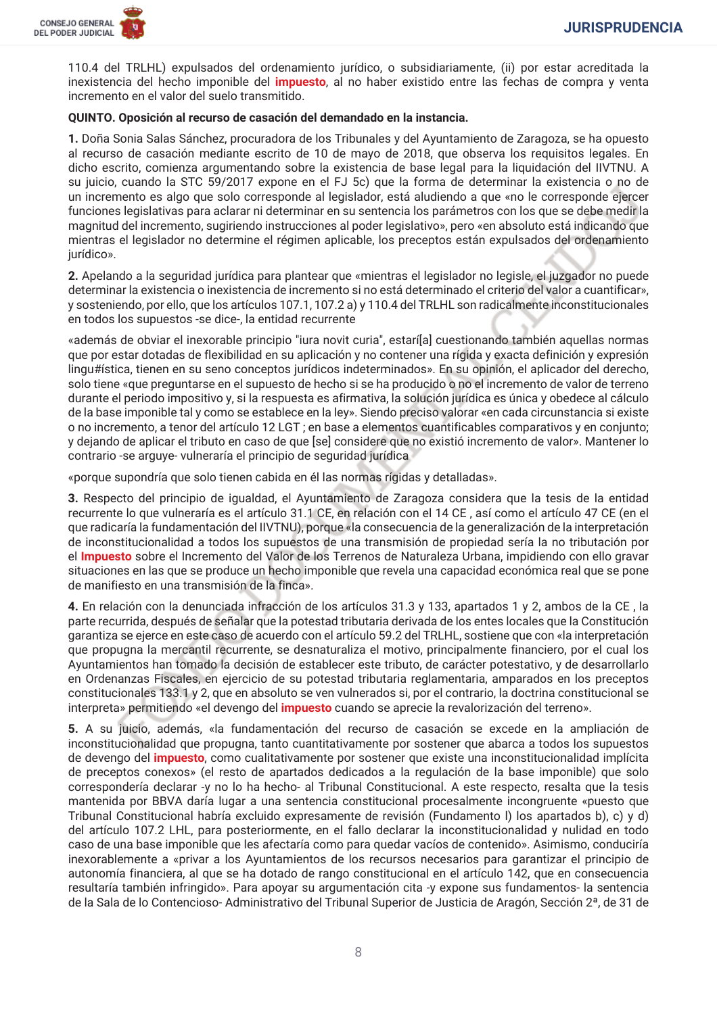

110.4 del TRLHL) expulsados del ordenamiento jurídico, o subsidiariamente, (ii) por estar acreditada la inexistencia del hecho imponible del *impuesto*, al no haber existido entre las fechas de compra y venta incremento en el valor del suelo transmitido.

#### QUINTO. Oposición al recurso de casación del demandado en la instancia.

1. Doña Sonia Salas Sánchez, procuradora de los Tribunales y del Ayuntamiento de Zaragoza, se ha opuesto al recurso de casación mediante escrito de 10 de mayo de 2018, que observa los requisitos legales. En dicho escrito, comienza argumentando sobre la existencia de base legal para la liguidación del IIVTNU. A su juicio, cuando la STC 59/2017 expone en el FJ 5c) que la forma de determinar la existencia o no de un incremento es algo que solo corresponde al legislador, está aludiendo a que «no le corresponde ejercer funciones legislativas para aclarar ni determinar en su sentencia los parámetros con los que se debe medir la magnitud del incremento, sugiriendo instrucciones al poder legislativo», pero «en absoluto está indicando que mientras el legislador no determine el régimen aplicable, los preceptos están expulsados del ordenamiento jurídico».

2. Apelando a la seguridad jurídica para plantear que «mientras el legislador no legisle, el juzgador no puede determinar la existencia o inexistencia de incremento si no está determinado el criterio del valor a cuantificar», y sosteniendo, por ello, que los artículos 107.1, 107.2 a) y 110.4 del TRLHL son radicalmente inconstitucionales en todos los supuestos -se dice-, la entidad recurrente

«además de obviar el inexorable principio "iura novit curia", estarí[a] cuestionando también aquellas normas que por estar dotadas de flexibilidad en su aplicación y no contener una rígida y exacta definición y expresión lingu#ística, tienen en su seno conceptos jurídicos indeterminados». En su opinión, el aplicador del derecho, solo tiene «que preguntarse en el supuesto de hecho si se ha producido o no el incremento de valor de terreno durante el periodo impositivo y, si la respuesta es afirmativa, la solución jurídica es única y obedece al cálculo de la base imponible tal y como se establece en la ley». Siendo preciso valorar «en cada circunstancia si existe o no incremento, a tenor del artículo 12 LGT; en base a elementos cuantificables comparativos y en conjunto; y dejando de aplicar el tributo en caso de que [se] considere que no existió incremento de valor». Mantener lo contrario -se arguye- vulneraría el principio de seguridad jurídica

«porque supondría que solo tienen cabida en él las normas rígidas y detalladas».

3. Respecto del principio de igualdad, el Ayuntamiento de Zaragoza considera que la tesis de la entidad recurrente lo que vulneraría es el artículo 31.1 CE, en relación con el 14 CE, así como el artículo 47 CE (en el que radicaría la fundamentación del IIVTNU), porque «la consecuencia de la generalización de la interpretación de inconstitucionalidad a todos los supuestos de una transmisión de propiedad sería la no tributación por el Impuesto sobre el Incremento del Valor de los Terrenos de Naturaleza Urbana, impidiendo con ello gravar situaciones en las que se produce un hecho imponible que revela una capacidad económica real que se pone de manifiesto en una transmisión de la finca».

4. En relación con la denunciada infracción de los artículos 31.3 y 133, apartados 1 y 2, ambos de la CE, la parte recurrida, después de señalar que la potestad tributaria derivada de los entes locales que la Constitución garantiza se ejerce en este caso de acuerdo con el artículo 59.2 del TRLHL, sostiene que con «la interpretación que propugna la mercantil recurrente, se desnaturaliza el motivo, principalmente financiero, por el cual los Ayuntamientos han tomado la decisión de establecer este tributo, de carácter potestativo, y de desarrollarlo en Ordenanzas Fiscales, en ejercicio de su potestad tributaria reglamentaria, amparados en los preceptos constitucionales 133.1 y 2, que en absoluto se ven vulnerados si, por el contrario, la doctrina constitucional se interpreta» permitiendo «el devengo del *impuesto* cuando se aprecie la revalorización del terreno».

5. A su juicio, además, «la fundamentación del recurso de casación se excede en la ampliación de inconstitucionalidad que propugna, tanto cuantitativamente por sostener que abarca a todos los supuestos de devengo del *impuesto*, como cualitativamente por sostener que existe una inconstitucionalidad implícita de preceptos conexos» (el resto de apartados dedicados a la regulación de la base imponible) que solo correspondería declarar -y no lo ha hecho- al Tribunal Constitucional. A este respecto, resalta que la tesis mantenida por BBVA daría lugar a una sentencia constitucional procesalmente incongruente «puesto que Tribunal Constitucional habría excluido expresamente de revisión (Fundamento I) los apartados b), c) y d) del artículo 107.2 LHL, para posteriormente, en el fallo declarar la inconstitucionalidad y nulidad en todo caso de una base imponible que les afectaría como para quedar vacíos de contenido». Asimismo, conduciría inexorablemente a «privar a los Ayuntamientos de los recursos necesarios para garantizar el principio de autonomía financiera, al que se ha dotado de rango constitucional en el artículo 142, que en consecuencia resultaría también infringido». Para apoyar su argumentación cita -y expone sus fundamentos- la sentencia de la Sala de lo Contencioso-Administrativo del Tribunal Superior de Justicia de Aragón, Sección 2ª, de 31 de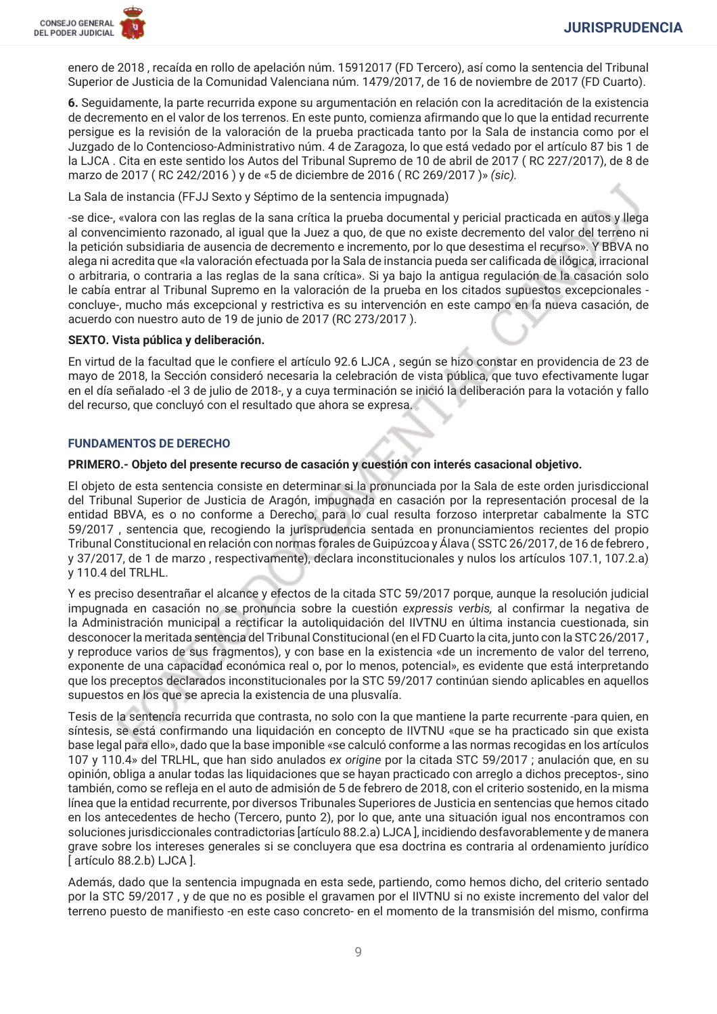

enero de 2018, recaída en rollo de apelación núm. 15912017 (FD Tercero), así como la sentencia del Tribunal Superior de Justicia de la Comunidad Valenciana núm. 1479/2017, de 16 de noviembre de 2017 (FD Cuarto).

6. Seguidamente, la parte recurrida expone su argumentación en relación con la acreditación de la existencia de decremento en el valor de los terrenos. En este punto, comienza afirmando que lo que la entidad recurrente persigue es la revisión de la valoración de la prueba practicada tanto por la Sala de instancia como por el Juzgado de lo Contencioso-Administrativo núm. 4 de Zaragoza, lo que está vedado por el artículo 87 bis 1 de la LJCA. Cita en este sentido los Autos del Tribunal Supremo de 10 de abril de 2017 (RC 227/2017), de 8 de marzo de 2017 (RC 242/2016) y de «5 de diciembre de 2016 (RC 269/2017)» (sic).

La Sala de instancia (FFJJ Sexto y Séptimo de la sentencia impugnada)

-se dice-, «valora con las reglas de la sana crítica la prueba documental y pericial practicada en autos y llega al convencimiento razonado, al igual que la Juez a guo, de que no existe decremento del valor del terreno ni la petición subsidiaria de ausencia de decremento e incremento, por lo que desestima el recurso». Y BBVA no alega ni acredita que «la valoración efectuada por la Sala de instancia pueda ser calificada de ilógica, irracional o arbitraria, o contraria a las reglas de la sana crítica». Si ya bajo la antigua regulación de la casación solo le cabía entrar al Tribunal Supremo en la valoración de la prueba en los citados supuestos excepcionales concluye-, mucho más excepcional y restrictiva es su intervención en este campo en la nueva casación, de acuerdo con nuestro auto de 19 de junio de 2017 (RC 273/2017).

#### SEXTO. Vista pública y deliberación.

En virtud de la facultad que le confiere el artículo 92.6 LJCA, según se hizo constar en providencia de 23 de mayo de 2018, la Sección consideró necesaria la celebración de vista pública, que tuvo efectivamente lugar en el día señalado -el 3 de julio de 2018-, y a cuya terminación se inició la deliberación para la votación y fallo del recurso, que concluvó con el resultado que ahora se expresa.

#### **FUNDAMENTOS DE DERECHO**

#### PRIMERO.- Objeto del presente recurso de casación y cuestión con interés casacional objetivo.

El objeto de esta sentencia consiste en determinar si la pronunciada por la Sala de este orden jurisdiccional del Tribunal Superior de Justicia de Aragón, impugnada en casación por la representación procesal de la entidad BBVA, es o no conforme a Derecho, para lo cual resulta forzoso interpretar cabalmente la STC 59/2017, sentencia que, recogiendo la jurisprudencia sentada en pronunciamientos recientes del propio Tribunal Constitucional en relación con normas forales de Guipúzcoa y Álava (SSTC 26/2017, de 16 de febrero, y 37/2017, de 1 de marzo, respectivamente), declara inconstitucionales y nulos los artículos 107.1, 107.2.a) y 110.4 del TRLHL.

Y es preciso desentrañar el alcance y efectos de la citada STC 59/2017 porque, aunque la resolución judicial impugnada en casación no se pronuncia sobre la cuestión expressis verbis, al confirmar la negativa de la Administración municipal a rectificar la autoliquidación del IIVTNU en última instancia cuestionada, sin desconocer la meritada sentencia del Tribunal Constitucional (en el FD Cuarto la cita, junto con la STC 26/2017, y reproduce varios de sus fragmentos), y con base en la existencia «de un incremento de valor del terreno, exponente de una capacidad económica real o, por lo menos, potencial», es evidente que está interpretando que los preceptos declarados inconstitucionales por la STC 59/2017 continúan siendo aplicables en aquellos supuestos en los que se aprecia la existencia de una plusvalía.

Tesis de la sentencia recurrida que contrasta, no solo con la que mantiene la parte recurrente -para quien, en síntesis, se está confirmando una liquidación en concepto de IIVTNU «que se ha practicado sin que exista base legal para ello», dado que la base imponible «se calculó conforme a las normas recogidas en los artículos 107 y 110.4» del TRLHL, que han sido anulados ex origine por la citada STC 59/2017; anulación que, en su opinión, obliga a anular todas las liguidaciones que se hayan practicado con arreglo a dichos preceptos-, sino también, como se refleja en el auto de admisión de 5 de febrero de 2018, con el criterio sostenido, en la misma línea que la entidad recurrente, por diversos Tribunales Superiores de Justicia en sentencias que hemos citado en los antecedentes de hecho (Tercero, punto 2), por lo que, ante una situación igual nos encontramos con soluciones jurisdiccionales contradictorias [artículo 88.2.a) LJCA], incidiendo desfavorablemente y de manera grave sobre los intereses generales si se concluyera que esa doctrina es contraria al ordenamiento jurídico [artículo 88.2.b) LJCA].

Además, dado que la sentencia impugnada en esta sede, partiendo, como hemos dicho, del criterio sentado por la STC 59/2017, y de que no es posible el gravamen por el IIVTNU si no existe incremento del valor del terreno puesto de manifiesto -en este caso concreto- en el momento de la transmisión del mismo, confirma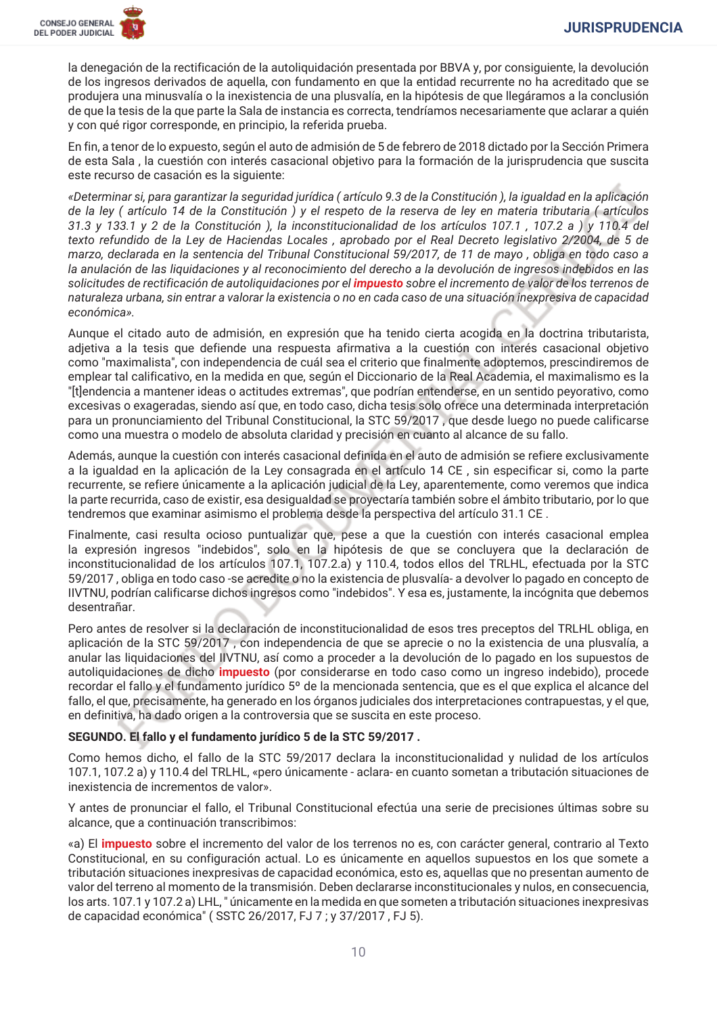

la denegación de la rectificación de la autoliquidación presentada por BBVA y, por consiguiente, la devolución de los ingresos derivados de aquella, con fundamento en que la entidad recurrente no ha acreditado que se produjera una minusvalía o la inexistencia de una plusvalía, en la hipótesis de que llegáramos a la conclusión de que la tesis de la que parte la Sala de instancia es correcta, tendríamos necesariamente que aclarar a quién y con qué rigor corresponde, en principio, la referida prueba.

En fin, a tenor de lo expuesto, según el auto de admisión de 5 de febrero de 2018 dictado por la Sección Primera de esta Sala, la cuestión con interés casacional objetivo para la formación de la jurisprudencia que suscita este recurso de casación es la siguiente:

«Determinar si, para garantizar la seguridad jurídica (artículo 9.3 de la Constitución), la igualdad en la aplicación de la ley (artículo 14 de la Constitución) y el respeto de la reserva de ley en materia tributaria (artículos 31.3 y 133.1 y 2 de la Constitución), la inconstitucionalidad de los artículos 107.1, 107.2 a) y 110.4 del texto refundido de la Ley de Haciendas Locales, aprobado por el Real Decreto legislativo 2/2004, de 5 de marzo, declarada en la sentencia del Tribunal Constitucional 59/2017, de 11 de mayo, obliga en todo caso a la anulación de las liquidaciones y al reconocimiento del derecho a la devolución de ingresos indebidos en las solicitudes de rectificación de autoliquidaciones por el *impuesto* sobre el incremento de valor de los terrenos de naturaleza urbana, sin entrar a valorar la existencia o no en cada caso de una situación inexpresiva de capacidad económica».

Aunque el citado auto de admisión, en expresión que ha tenido cierta acogida en la doctrina tributarista, adjetiva a la tesis que defiende una respuesta afirmativa a la cuestión con interés casacional objetivo como "maximalista", con independencia de cuál sea el criterio que finalmente adoptemos, prescindiremos de emplear tal calificativo, en la medida en que, según el Diccionario de la Real Academia, el maximalismo es la "[t]endencia a mantener ideas o actitudes extremas", que podrían entenderse, en un sentido peyorativo, como excesivas o exageradas, siendo así que, en todo caso, dicha tesis solo ofrece una determinada interpretación para un pronunciamiento del Tribunal Constitucional, la STC 59/2017, que desde luego no puede calificarse como una muestra o modelo de absoluta claridad y precisión en cuanto al alcance de su fallo.

Además, aunque la cuestión con interés casacional definida en el auto de admisión se refiere exclusivamente a la igualdad en la aplicación de la Ley consagrada en el artículo 14 CE, sin especificar si, como la parte recurrente, se refiere únicamente a la aplicación judicial de la Ley, aparentemente, como veremos que indica la parte recurrida, caso de existir, esa desigualdad se provectaría también sobre el ámbito tributario, por lo que tendremos que examinar asimismo el problema desde la perspectiva del artículo 31.1 CE.

Finalmente, casi resulta ocioso puntualizar que, pese a que la cuestión con interés casacional emplea la expresión ingresos "indebidos", solo en la hipótesis de que se concluyera que la declaración de inconstitucionalidad de los artículos 107.1, 107.2, a) y 110.4, todos ellos del TRLHL, efectuada por la STC 59/2017, obliga en todo caso -se acredite o no la existencia de plusvalía- a devolver lo pagado en concepto de IIVTNU, podrían calificarse dichos ingresos como "indebidos". Y esa es, justamente, la incógnita que debemos desentrañar.

Pero antes de resolver si la declaración de inconstitucionalidad de esos tres preceptos del TRLHL obliga, en aplicación de la STC 59/2017, con independencia de que se aprecie o no la existencia de una plusvalía, a anular las liquidaciones del IIVTNU, así como a proceder a la devolución de lo pagado en los supuestos de autoliguidaciones de dicho *impuesto* (por considerarse en todo caso como un ingreso indebido), procede recordar el fallo y el fundamento jurídico 5º de la mencionada sentencia, que es el que explica el alcance del fallo, el que, precisamente, ha generado en los órganos judiciales dos interpretaciones contrapuestas, y el que, en definitiva, ha dado origen a la controversia que se suscita en este proceso.

## SEGUNDO. El fallo y el fundamento jurídico 5 de la STC 59/2017.

Como hemos dicho, el fallo de la STC 59/2017 declara la inconstitucionalidad y nulidad de los artículos 107.1, 107.2 a) y 110.4 del TRLHL, «pero únicamente - aclara- en cuanto sometan a tributación situaciones de inexistencia de incrementos de valor».

Y antes de pronunciar el fallo, el Tribunal Constitucional efectúa una serie de precisiones últimas sobre su alcance, que a continuación transcribimos:

«a) El impuesto sobre el incremento del valor de los terrenos no es, con carácter general, contrario al Texto Constitucional, en su configuración actual. Lo es únicamente en aquellos supuestos en los que somete a tributación situaciones inexpresivas de capacidad económica, esto es, aquellas que no presentan aumento de valor del terreno al momento de la transmisión. Deben declararse inconstitucionales y nulos, en consecuencia, los arts. 107.1 y 107.2 a) LHL, "únicamente en la medida en que someten a tributación situaciones inexpresivas de capacidad económica" (SSTC 26/2017, FJ 7 : v 37/2017, FJ 5).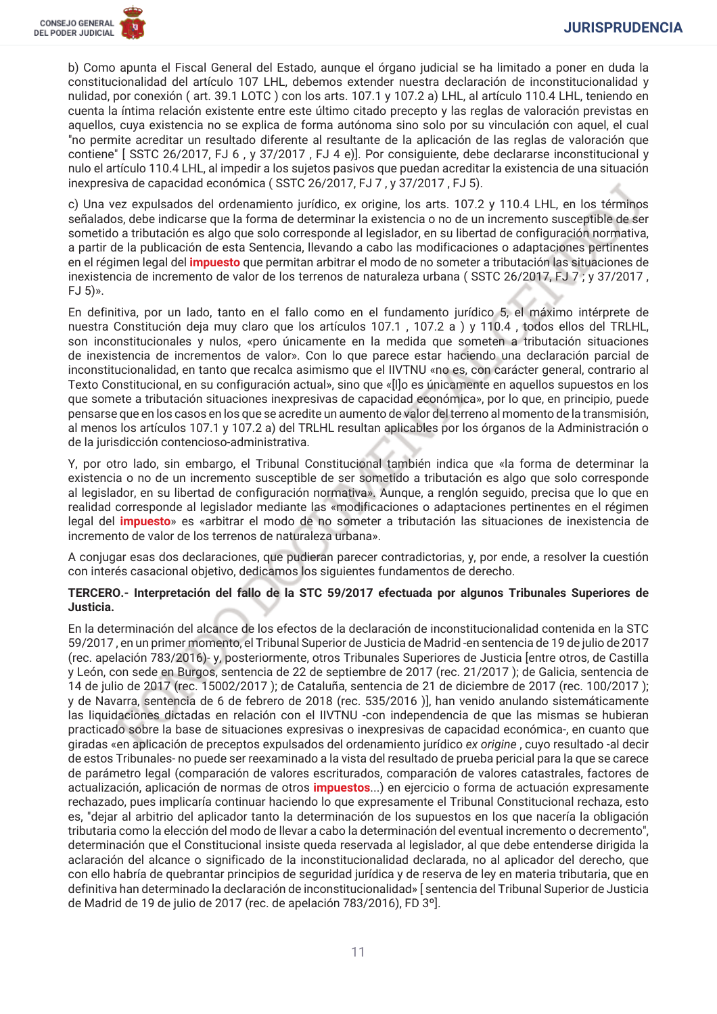b) Como apunta el Fiscal General del Estado, aunque el órgano iudicial se ha limitado a poner en duda la constitucionalidad del artículo 107 LHL, debemos extender nuestra declaración de inconstitucionalidad y nulidad, por conexión (art. 39.1 LOTC) con los arts. 107.1 y 107.2 a) LHL, al artículo 110.4 LHL, teniendo en cuenta la íntima relación existente entre este último citado precepto y las reglas de valoración previstas en aquellos, cuya existencia no se explica de forma autónoma sino solo por su vinculación con aquel, el cual "no permite acreditar un resultado diferente al resultante de la aplicación de las reglas de valoración que contiene" [ SSTC 26/2017, FJ 6, y 37/2017, FJ 4 e)]. Por consiguiente, debe declararse inconstitucional v nulo el artículo 110.4 LHL, al impedir a los sujetos pasivos que puedan acreditar la existencia de una situación inexpresiva de capacidad económica (SSTC 26/2017, FJ 7, y 37/2017, FJ 5).

c) Una vez expulsados del ordenamiento jurídico, ex origine, los arts. 107.2 y 110.4 LHL, en los términos señalados, debe indicarse que la forma de determinar la existencia o no de un incremento susceptible de ser sometido a tributación es algo que solo corresponde al legislador, en su libertad de configuración normativa, a partir de la publicación de esta Sentencia, llevando a cabo las modificaciones o adaptaciones pertinentes en el régimen legal del *impuesto* que permitan arbitrar el modo de no someter a tributación las situaciones de inexistencia de incremento de valor de los terrenos de naturaleza urbana (SSTC 26/2017, FJ 7 ; y 37/2017,  $FJ_5$ )».

En definitiva, por un lado, tanto en el fallo como en el fundamento jurídico 5, el máximo intérprete de nuestra Constitución deja muy claro que los artículos 107.1, 107.2 a) y 110.4, todos ellos del TRLHL, son inconstitucionales y nulos, «pero únicamente en la medida que someten a tributación situaciones de inexistencia de incrementos de valor». Con lo que parece estar haciendo una declaración parcial de inconstitucionalidad, en tanto que recalca asimismo que el IIVTNU «no es, con carácter general, contrario al Texto Constitucional, en su configuración actual», sino que «[I]o es únicamente en aquellos supuestos en los que somete a tributación situaciones inexpresivas de capacidad económica», por lo que, en principio, puede pensarse que en los casos en los que se acredite un aumento de valor del terreno al momento de la transmisión, al menos los artículos 107.1 y 107.2 a) del TRLHL resultan aplicables por los órganos de la Administración o de la jurisdicción contencioso-administrativa.

Y, por otro lado, sin embargo, el Tribunal Constitucional también indica que «la forma de determinar la existencia o no de un incremento susceptible de ser sometido a tributación es algo que solo corresponde al legislador, en su libertad de configuración normativa». Aungue, a renglón seguido, precisa que lo que en realidad corresponde al legislador mediante las «modificaciones o adaptaciones pertinentes en el régimen legal del *impuesto*» es «arbitrar el modo de no someter a tributación las situaciones de inexistencia de incremento de valor de los terrenos de naturaleza urbana».

A conjugar esas dos declaraciones, que pudieran parecer contradictorias, y, por ende, a resolver la cuestión con interés casacional objetivo, dedicamos los siguientes fundamentos de derecho.

## TERCERO.- Interpretación del fallo de la STC 59/2017 efectuada por algunos Tribunales Superiores de Justicia.

En la determinación del alcance de los efectos de la declaración de inconstitucionalidad contenida en la STC 59/2017, en un primer momento, el Tribunal Superior de Justicia de Madrid-en sentencia de 19 de julio de 2017 (rec. apelación 783/2016)-y, posteriormente, otros Tribunales Superiores de Justicia [entre otros, de Castilla y León, con sede en Burgos, sentencia de 22 de septiembre de 2017 (rec. 21/2017); de Galicia, sentencia de 14 de julio de 2017 (rec. 15002/2017); de Cataluña, sentencia de 21 de diciembre de 2017 (rec. 100/2017); y de Navarra, sentencia de 6 de febrero de 2018 (rec. 535/2016)], han venido anulando sistemáticamente las liquidaciones dictadas en relación con el IIVTNU -con independencia de que las mismas se hubieran practicado sobre la base de situaciones expresivas o inexpresivas de capacidad económica-, en cuanto que giradas «en aplicación de preceptos expulsados del ordenamiento jurídico ex origine, cuyo resultado -al decir de estos Tribunales- no puede ser reexaminado a la vista del resultado de prueba pericial para la que se carece de parámetro legal (comparación de valores escriturados, comparación de valores catastrales, factores de actualización, aplicación de normas de otros impuestos...) en ejercicio o forma de actuación expresamente rechazado, pues implicaría continuar haciendo lo que expresamente el Tribunal Constitucional rechaza, esto es, "dejar al arbitrio del aplicador tanto la determinación de los supuestos en los que nacería la obligación tributaria como la elección del modo de llevar a cabo la determinación del eventual incremento o decremento", determinación que el Constitucional insiste queda reservada al legislador, al que debe entenderse dirigida la aclaración del alcance o significado de la inconstitucionalidad declarada, no al aplicador del derecho, que con ello habría de quebrantar principios de seguridad jurídica y de reserva de ley en materia tributaria, que en definitiva han determinado la declaración de inconstitucionalidad» [sentencia del Tribunal Superior de Justicia de Madrid de 19 de julio de 2017 (rec. de apelación 783/2016), FD 3º].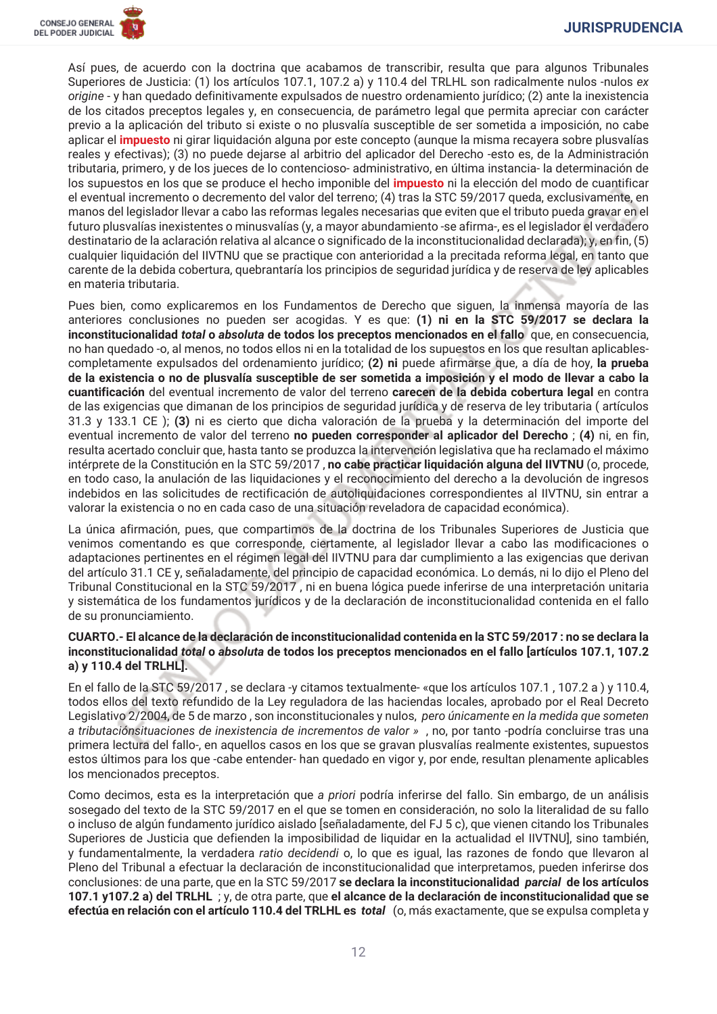Así pues, de acuerdo con la doctrina que acabamos de transcribir, resulta que para algunos Tribunales Superiores de Justicia: (1) los artículos 107.1, 107.2 a) y 110.4 del TRLHL son radicalmente nulos -nulos ex origine - y han quedado definitivamente expulsados de nuestro ordenamiento jurídico; (2) ante la inexistencia de los citados preceptos legales y, en consecuencia, de parámetro legal que permita apreciar con carácter previo a la aplicación del tributo si existe o no plusvalía susceptible de ser sometida a imposición, no cabe aplicar el *impuesto* ni girar liguidación alguna por este concepto (aungue la misma recavera sobre plusvalías reales y efectivas); (3) no puede deiarse al arbitrio del aplicador del Derecho -esto es, de la Administración tributaria, primero, y de los jueces de lo contencioso- administrativo, en última instancia- la determinación de los supuestos en los que se produce el hecho imponible del *impuesto* ni la elección del modo de cuantificar el eventual incremento o decremento del valor del terreno; (4) tras la STC 59/2017 queda, exclusivamente, en manos del legislador llevar a cabo las reformas legales necesarias que eviten que el tributo pueda gravar en el futuro plusvalías inexistentes o minusvalías (y, a mayor abundamiento -se afirma-, es el legislador el verdadero destinatario de la aclaración relativa al alcance o significado de la inconstitucionalidad declarada); y, en fin, (5) cualquier liquidación del IIVTNU que se practique con anterioridad a la precitada reforma legal, en tanto que carente de la debida cobertura, quebrantaría los principios de seguridad jurídica y de reserva de ley aplicables en materia tributaria.

Pues bien, como explicaremos en los Fundamentos de Derecho que siguen, la inmensa mayoría de las anteriores conclusiones no pueden ser acogidas. Y es que: (1) ni en la STC 59/2017 se declara la inconstitucionalidad total o absoluta de todos los preceptos mencionados en el fallo que, en consecuencia, no han quedado -o, al menos, no todos ellos ni en la totalidad de los supuestos en los que resultan aplicablescompletamente expulsados del ordenamiento jurídico; (2) ni puede afirmarse que, a día de hoy, la prueba de la existencia o no de plusvalía susceptible de ser sometida a imposición y el modo de llevar a cabo la cuantificación del eventual incremento de valor del terreno carecen de la debida cobertura legal en contra de las exigencias que dimanan de los principios de seguridad jurídica y de reserva de ley tributaria (artículos 31.3 y 133.1 CE ); (3) ni es cierto que dicha valoración de la prueba y la determinación del importe del eventual incremento de valor del terreno no pueden corresponder al aplicador del Derecho; (4) ni, en fin, resulta acertado concluir que, hasta tanto se produzca la intervención legislativa que ha reclamado el máximo intérprete de la Constitución en la STC 59/2017, no cabe practicar liquidación alguna del IIVTNU (o, procede, en todo caso, la anulación de las liquidaciones y el reconocimiento del derecho a la devolución de ingresos indebidos en las solicitudes de rectificación de autoliquidaciones correspondientes al IIVTNU, sin entrar a valorar la existencia o no en cada caso de una situación reveladora de capacidad económica).

La única afirmación, pues, que compartimos de la doctrina de los Tribunales Superiores de Justicia que venimos comentando es que corresponde, ciertamente, al legislador llevar a cabo las modificaciones o adaptaciones pertinentes en el régimen legal del IIVTNU para dar cumplimiento a las exigencias que derivan del artículo 31.1 CE y, señaladamente, del principio de capacidad económica. Lo demás, ni lo dijo el Pleno del Tribunal Constitucional en la STC 59/2017, ni en buena lógica puede inferirse de una interpretación unitaria y sistemática de los fundamentos jurídicos y de la declaración de inconstitucionalidad contenida en el fallo de su pronunciamiento.

### CUARTO.- El alcance de la declaración de inconstitucionalidad contenida en la STC 59/2017: no se declara la inconstitucionalidad total o absoluta de todos los preceptos mencionados en el fallo [artículos 107.1, 107.2 a) v 110.4 del TRLHLl.

En el fallo de la STC 59/2017, se declara -y citamos textualmente- «que los artículos 107.1, 107.2 a) y 110.4, todos ellos del texto refundido de la Ley reguladora de las haciendas locales, aprobado por el Real Decreto Legislativo 2/2004, de 5 de marzo, son inconstitucionales y nulos, pero únicamente en la medida que someten a tributaciónsituaciones de inexistencia de incrementos de valor », no, por tanto -podría concluirse tras una primera lectura del fallo-, en aquellos casos en los que se gravan plusvalías realmente existentes, supuestos estos últimos para los que -cabe entender- han quedado en vigor y, por ende, resultan plenamente aplicables los mencionados preceptos.

Como decimos, esta es la interpretación que a priori podría inferirse del fallo. Sin embargo, de un análisis sosegado del texto de la STC 59/2017 en el que se tomen en consideración, no solo la literalidad de su fallo o incluso de algún fundamento jurídico aislado [señaladamente, del FJ 5 c), que vienen citando los Tribunales Superiores de Justicia que defienden la imposibilidad de liquidar en la actualidad el IIVTNU], sino también, y fundamentalmente, la verdadera ratio decidendi o, lo que es igual, las razones de fondo que llevaron al Pleno del Tribunal a efectuar la declaración de inconstitucionalidad que interpretamos, pueden inferirse dos conclusiones: de una parte, que en la STC 59/2017 se declara la inconstitucionalidad parcial de los artículos 107.1 y107.2 a) del TRLHL ; y, de otra parte, que el alcance de la declaración de inconstitucionalidad que se efectúa en relación con el artículo 110.4 del TRLHL es total (o, más exactamente, que se expulsa completa y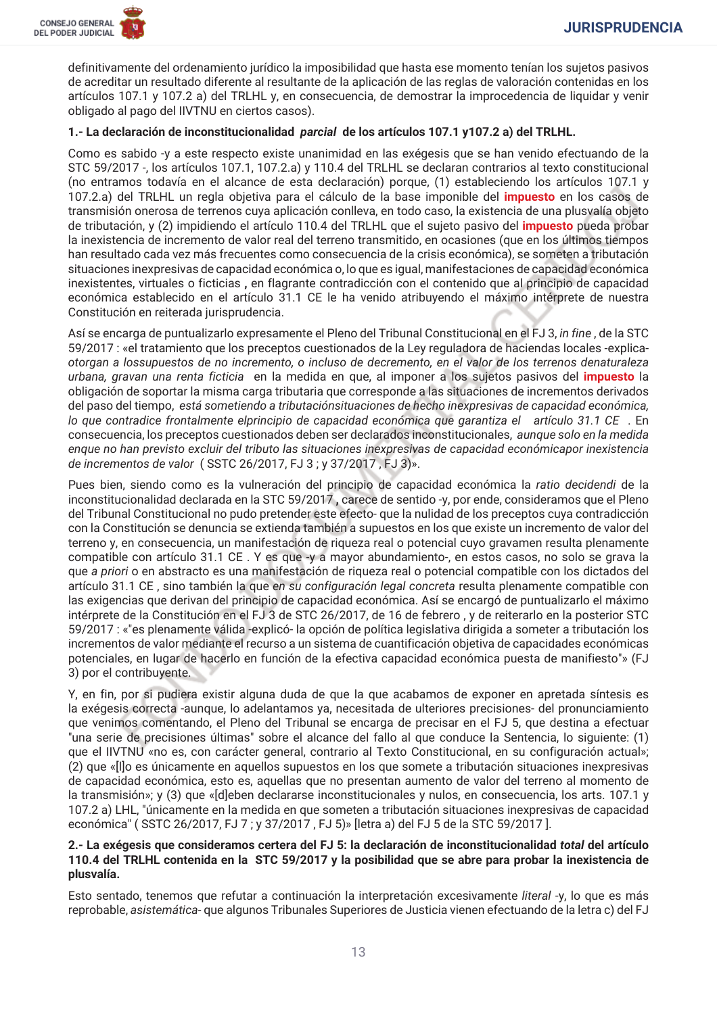

definitivamente del ordenamiento jurídico la imposibilidad que hasta ese momento tenían los sujetos pasivos de acreditar un resultado diferente al resultante de la aplicación de las reglas de valoración contenidas en los artículos 107.1 y 107.2 a) del TRLHL y, en consecuencia, de demostrar la improcedencia de liquidar y venir obligado al pago del IIVTNU en ciertos casos).

### 1.- La declaración de inconstitucionalidad parcial de los artículos 107.1 y107.2 a) del TRLHL.

Como es sabido -y a este respecto existe unanimidad en las exégesis que se han venido efectuando de la STC 59/2017 -, los artículos 107.1, 107.2.a) y 110.4 del TRLHL se declaran contrarios al texto constitucional (no entramos todavía en el alcance de esta declaración) porque, (1) estableciendo los artículos 107.1 y 107.2.a) del TRLHL un regla objetiva para el cálculo de la base imponible del *impuesto* en los casos de transmisión onerosa de terrenos cuya aplicación conlleva, en todo caso, la existencia de una plusvalía objeto de tributación, y (2) impidiendo el artículo 110.4 del TRLHL que el sujeto pasivo del *impuesto* pueda probar la inexistencia de incremento de valor real del terreno transmitido, en ocasiones (que en los últimos tiempos han resultado cada vez más frecuentes como consecuencia de la crisis económica), se someten a tributación situaciones inexpresivas de capacidad económica o, lo que es igual, manifestaciones de capacidad económica inexistentes, virtuales o ficticias, en flagrante contradicción con el contenido que al principio de capacidad económica establecido en el artículo 31.1 CE le ha venido atribuyendo el máximo intérprete de nuestra Constitución en reiterada jurisprudencia.

Así se encarga de puntualizarlo expresamente el Pleno del Tribunal Constitucional en el FJ 3, in fine, de la STC 59/2017 : «el tratamiento que los preceptos cuestionados de la Ley reguladora de haciendas locales -explicaotorgan a lossupuestos de no incremento, o incluso de decremento, en el valor de los terrenos denaturaleza urbana, gravan una renta ficticia en la medida en que, al imponer a los sujetos pasivos del *impuesto* la obligación de soportar la misma carga tributaria que corresponde a las situaciones de incrementos derivados del paso del tiempo, está sometiendo a tributaciónsituaciones de hecho inexpresivas de capacidad económica, lo que contradice frontalmente elprincipio de capacidad económica que garantiza el artículo 31.1 CE. En consecuencia, los preceptos cuestionados deben ser declarados inconstitucionales, aunque solo en la medida enque no han previsto excluir del tributo las situaciones inexpresivas de capacidad económicapor inexistencia de incrementos de valor (SSTC 26/2017, FJ 3; y 37/2017, FJ 3)».

Pues bien, siendo como es la vulneración del principio de capacidad económica la ratio decidendi de la inconstitucionalidad declarada en la STC 59/2017, carece de sentido -y, por ende, consideramos que el Pleno del Tribunal Constitucional no pudo pretender este efecto- que la nulidad de los preceptos cuya contradicción con la Constitución se denuncia se extienda también a supuestos en los que existe un incremento de valor del terreno y, en consecuencia, un manifestación de riqueza real o potencial cuyo gravamen resulta plenamente compatible con artículo 31.1 CE. Y es que -y a mayor abundamiento-, en estos casos, no solo se grava la que a priori o en abstracto es una manifestación de riqueza real o potencial compatible con los dictados del artículo 31.1 CE, sino también la que en su configuración legal concreta resulta plenamente compatible con las exigencias que derivan del principio de capacidad económica. Así se encargó de puntualizarlo el máximo intérprete de la Constitución en el FJ 3 de STC 26/2017, de 16 de febrero, y de reiterarlo en la posterior STC 59/2017 : «"es plenamente válida -explicó- la opción de política legislativa dirigida a someter a tributación los incrementos de valor mediante el recurso a un sistema de cuantificación objetiva de capacidades económicas potenciales, en lugar de hacerlo en función de la efectiva capacidad económica puesta de manifiesto"» (FJ 3) por el contribuyente.

Y, en fin, por si pudiera existir alguna duda de que la que acabamos de exponer en apretada síntesis es la exégesis correcta -aunque, lo adelantamos va, necesitada de ulteriores precisiones- del pronunciamiento que venimos comentando, el Pleno del Tribunal se encarga de precisar en el FJ 5, que destina a efectuar "una serie de precisiones últimas" sobre el alcance del fallo al que conduce la Sentencia, lo siquiente: (1) que el IIVTNU «no es, con carácter general, contrario al Texto Constitucional, en su configuración actual»; (2) que «[I]o es únicamente en aquellos supuestos en los que somete a tributación situaciones inexpresivas de capacidad económica, esto es, aquellas que no presentan aumento de valor del terreno al momento de la transmisión»; y (3) que «[d]eben declararse inconstitucionales y nulos, en consecuencia, los arts. 107.1 y 107.2 a) LHL, "únicamente en la medida en que someten a tributación situaciones inexpresivas de capacidad económica" (SSTC 26/2017, FJ 7; y 37/2017, FJ 5)» [letra a) del FJ 5 de la STC 59/2017].

### 2.- La exégesis que consideramos certera del FJ 5: la declaración de inconstitucionalidad total del artículo 110.4 del TRLHL contenida en la STC 59/2017 y la posibilidad que se abre para probar la inexistencia de plusvalía.

Esto sentado, tenemos que refutar a continuación la interpretación excesivamente literal -y, lo que es más reprobable, asistemática- que algunos Tribunales Superiores de Justicia vienen efectuando de la letra c) del FJ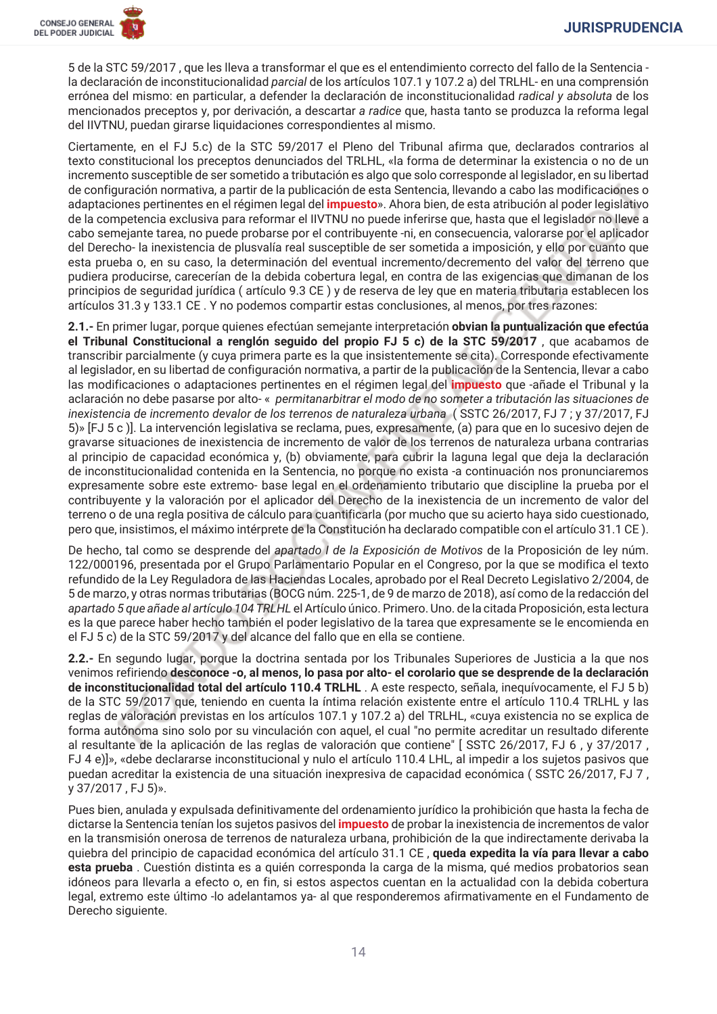5 de la STC 59/2017, que les lleva a transformar el que es el entendimiento correcto del fallo de la Sentencia la declaración de inconstitucionalidad parcial de los artículos 107.1 y 107.2 a) del TRLHL- en una comprensión errónea del mismo: en particular, a defender la declaración de inconstitucionalidad radical y absoluta de los mencionados preceptos y, por derivación, a descartar a radice que, hasta tanto se produzca la reforma legal del IIVTNU, puedan girarse liquidaciones correspondientes al mismo.

Ciertamente, en el FJ 5.c) de la STC 59/2017 el Pleno del Tribunal afirma que, declarados contrarios al texto constitucional los preceptos denunciados del TRLHL, «la forma de determinar la existencia o no de un incremento susceptible de ser sometido a tributación es algo que solo corresponde al legislador, en su libertad de configuración normativa, a partir de la publicación de esta Sentencia, llevando a cabo las modificaciones o adaptaciones pertinentes en el régimen legal del *impuesto*». Ahora bien, de esta atribución al poder legislativo de la competencia exclusiva para reformar el IIVTNU no puede inferirse que, hasta que el legislador no lleve a cabo semejante tarea, no puede probarse por el contribuyente -ni, en consecuencia, valorarse por el aplicador del Derecho-la inexistencia de plusvalía real susceptible de ser sometida a imposición, y ello por cuanto que esta prueba o, en su caso, la determinación del eventual incremento/decremento del valor del terreno que pudiera producirse, carecerían de la debida cobertura legal, en contra de las exigencias que dimanan de los principios de seguridad jurídica (artículo 9.3 CE) y de reserva de ley que en materia tributaria establecen los artículos 31.3 y 133.1 CE. Y no podemos compartir estas conclusiones, al menos, por tres razones:

2.1.- En primer lugar, porque quienes efectúan semejante interpretación obvian la puntualización que efectúa el Tribunal Constitucional a renglón seguido del propio FJ 5 c) de la STC 59/2017, que acabamos de transcribir parcialmente (y cuya primera parte es la que insistentemente se cita). Corresponde efectivamente al legislador, en su libertad de configuración normativa, a partir de la publicación de la Sentencia, llevar a cabo las modificaciones o adaptaciones pertinentes en el régimen legal del *impuesto* que -añade el Tribunal y la aclaración no debe pasarse por alto-« permitanarbitrar el modo de no someter a tributación las situaciones de inexistencia de incremento devalor de los terrenos de naturaleza urbana (SSTC 26/2017, FJ 7; y 37/2017, FJ 5)» [FJ 5 c)]. La intervención legislativa se reclama, pues, expresamente, (a) para que en lo sucesivo dejen de gravarse situaciones de inexistencia de incremento de valor de los terrenos de naturaleza urbana contrarias al principio de capacidad económica y, (b) obviamente, para cubrir la laguna legal que deja la declaración de inconstitucionalidad contenida en la Sentencia, no porque no exista -a continuación nos pronunciaremos expresamente sobre este extremo- base legal en el ordenamiento tributario que discipline la prueba por el contribuyente y la valoración por el aplicador del Derecho de la inexistencia de un incremento de valor del terreno o de una regla positiva de cálculo para cuantificarla (por mucho que su acierto haya sido cuestionado, pero que, insistimos, el máximo intérprete de la Constitución ha declarado compatible con el artículo 31.1 CE).

De hecho, tal como se desprende del apartado I de la Exposición de Motivos de la Proposición de lev núm. 122/000196, presentada por el Grupo Parlamentario Popular en el Congreso, por la que se modifica el texto refundido de la Ley Reguladora de las Haciendas Locales, aprobado por el Real Decreto Legislativo 2/2004, de 5 de marzo, y otras normas tributarias (BOCG núm. 225-1, de 9 de marzo de 2018), así como de la redacción del apartado 5 que añade al artículo 104 TRLHL el Artículo único. Primero, Uno, de la citada Proposición, esta lectura es la que parece haber hecho también el poder legislativo de la tarea que expresamente se le encomienda en el FJ 5 c) de la STC 59/2017 y del alcance del fallo que en ella se contiene.

2.2.- En segundo lugar, porque la doctrina sentada por los Tribunales Superiores de Justicia a la que nos venimos refiriendo desconoce -o, al menos, lo pasa por alto- el corolario que se desprende de la declaración de inconstitucionalidad total del artículo 110.4 TRLHL. A este respecto, señala, inequívocamente, el FJ 5 b) de la STC 59/2017 que, teniendo en cuenta la íntima relación existente entre el artículo 110.4 TRLHL y las reglas de valoración previstas en los artículos 107.1 y 107.2 a) del TRLHL, «cuya existencia no se explica de forma autónoma sino solo por su vinculación con aquel, el cual "no permite acreditar un resultado diferente al resultante de la aplicación de las reglas de valoración que contiene" [SSTC 26/2017, FJ 6, y 37/2017, FJ 4 e) », «debe declararse inconstitucional y nulo el artículo 110.4 LHL, al impedir a los sujetos pasivos que puedan acreditar la existencia de una situación inexpresiva de capacidad económica (SSTC 26/2017, FJ 7, y 37/2017, FJ 5)».

Pues bien, anulada y expulsada definitivamente del ordenamiento jurídico la prohibición que hasta la fecha de dictarse la Sentencia tenían los sujetos pasivos del impuesto de probar la inexistencia de incrementos de valor en la transmisión onerosa de terrenos de naturaleza urbana, prohibición de la que indirectamente derivaba la quiebra del principio de capacidad económica del artículo 31.1 CE, queda expedita la vía para llevar a cabo esta prueba. Cuestión distinta es a quién corresponda la carga de la misma, qué medios probatorios sean idóneos para llevarla a efecto o, en fin, si estos aspectos cuentan en la actualidad con la debida cobertura legal, extremo este último -lo adelantamos ya- al que responderemos afirmativamente en el Fundamento de Derecho siguiente.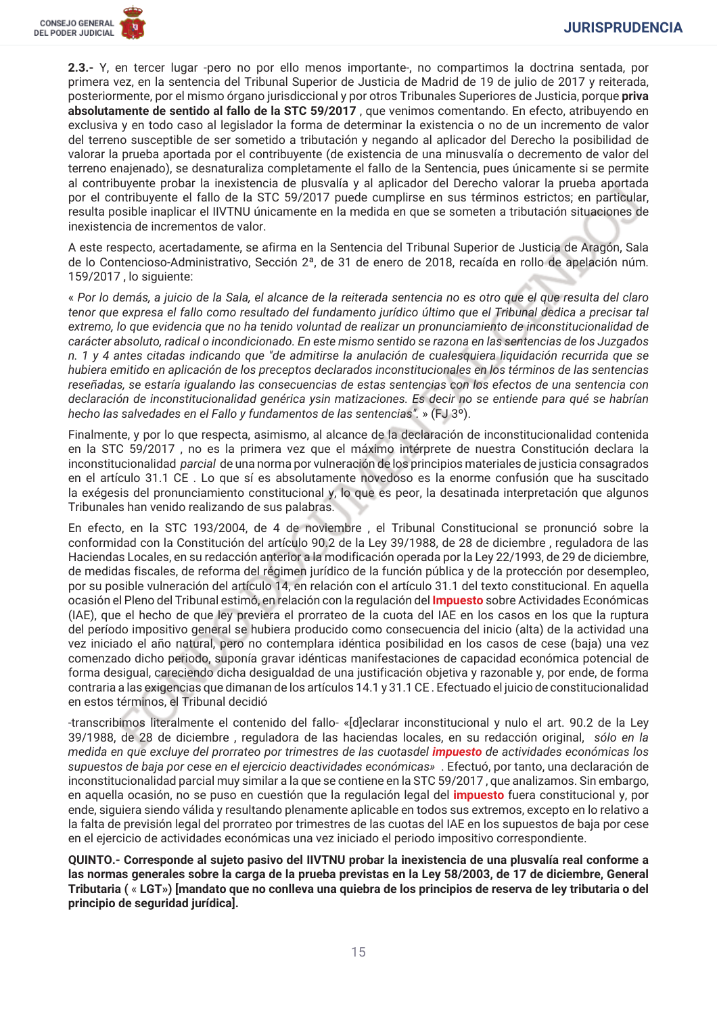2.3.- Y, en tercer lugar -pero no por ello menos importante-, no compartimos la doctrina sentada, por primera vez, en la sentencia del Tribunal Superior de Justicia de Madrid de 19 de julio de 2017 y reiterada. posteriormente, por el mismo órgano jurisdiccional y por otros Tribunales Superiores de Justicia, porque priva absolutamente de sentido al fallo de la STC 59/2017, que venimos comentando. En efecto, atribuyendo en exclusiva y en todo caso al legislador la forma de determinar la existencia o no de un incremento de valor del terreno susceptible de ser sometido a tributación y negando al aplicador del Derecho la posibilidad de valorar la prueba aportada por el contribuvente (de existencia de una minusvalía o decremento de valor del terreno enaienado), se desnaturaliza completamente el fallo de la Sentencia, pues únicamente si se permite al contribuyente probar la inexistencia de plusvalía y al aplicador del Derecho valorar la prueba aportada por el contribuyente el fallo de la STC 59/2017 puede cumplirse en sus términos estrictos; en particular, resulta posible inaplicar el IIVTNU únicamente en la medida en que se someten a tributación situaciones de inexistencia de incrementos de valor.

A este respecto, acertadamente, se afirma en la Sentencia del Tribunal Superior de Justicia de Aragón, Sala de lo Contencioso-Administrativo, Sección 2ª, de 31 de enero de 2018, recaída en rollo de apelación núm. 159/2017, lo siguiente:

« Por lo demás, a juicio de la Sala, el alcance de la reiterada sentencia no es otro que el que resulta del claro tenor que expresa el fallo como resultado del fundamento jurídico último que el Tribunal dedica a precisar tal extremo, lo que evidencia que no ha tenido voluntad de realizar un pronunciamiento de inconstitucionalidad de carácter absoluto, radical o incondicionado. En este mismo sentido se razona en las sentencias de los Juzgados n. 1 y 4 antes citadas indicando que "de admitirse la anulación de cualesquiera liquidación recurrida que se hubiera emitido en aplicación de los preceptos declarados inconstitucionales en los términos de las sentencias reseñadas, se estaría igualando las consecuencias de estas sentencias con los efectos de una sentencia con declaración de inconstitucionalidad genérica ysin matizaciones. Es decir no se entiende para qué se habrían hecho las salvedades en el Fallo y fundamentos de las sentencias". » (FJ 3º).

Finalmente, y por lo que respecta, asimismo, al alcance de la declaración de inconstitucionalidad contenida en la STC 59/2017, no es la primera vez que el máximo intérprete de nuestra Constitución declara la inconstitucionalidad parcial de una norma por vulneración de los principios materiales de justicia consagrados en el artículo 31.1 CE. Lo que sí es absolutamente novedoso es la enorme confusión que ha suscitado la exégesis del pronunciamiento constitucional y, lo que es peor, la desatinada interpretación que algunos Tribunales han venido realizando de sus palabras.

En efecto, en la STC 193/2004, de 4 de noviembre, el Tribunal Constitucional se pronunció sobre la conformidad con la Constitución del artículo 90.2 de la Ley 39/1988, de 28 de diciembre, reguladora de las Haciendas Locales, en su redacción anterior a la modificación operada por la Ley 22/1993, de 29 de diciembre, de medidas fiscales, de reforma del régimen jurídico de la función pública y de la protección por desempleo, por su posible vulneración del artículo 14, en relación con el artículo 31.1 del texto constitucional. En aquella ocasión el Pleno del Tribunal estimó, en relación con la regulación del *Impuesto* sobre Actividades Económicas (IAE), que el hecho de que ley previera el prorrateo de la cuota del IAE en los casos en los que la ruptura del período impositivo general se hubiera producido como consecuencia del inicio (alta) de la actividad una vez iniciado el año natural, pero no contemplara idéntica posibilidad en los casos de cese (baja) una vez comenzado dicho periodo, suponía gravar idénticas manifestaciones de capacidad económica potencial de forma desigual, careciendo dicha desigualdad de una justificación objetiva y razonable y, por ende, de forma contraria a las exigencias que dimanan de los artículos 14.1 y 31.1 CE. Efectuado el juicio de constitucionalidad en estos términos, el Tribunal decidió

-transcribimos literalmente el contenido del fallo- «[dleclarar inconstitucional y nulo el art. 90.2 de la Lev 39/1988, de 28 de diciembre, reguladora de las haciendas locales, en su redacción original, sólo en la medida en que excluye del prorrateo por trimestres de las cuotasdel *impuesto* de actividades económicas los supuestos de baja por cese en el ejercicio deactividades económicas». Efectuó, por tanto, una declaración de inconstitucionalidad parcial muy similar a la que se contiene en la STC 59/2017, que analizamos. Sin embargo, en aquella ocasión, no se puso en cuestión que la requlación legal del *impuesto* fuera constitucional y, por ende, siguiera siendo válida y resultando plenamente aplicable en todos sus extremos, excepto en lo relativo a la falta de previsión legal del prorrateo por trimestres de las cuotas del IAE en los supuestos de baja por cese en el ejercicio de actividades económicas una vez iniciado el periodo impositivo correspondiente.

QUINTO.- Corresponde al sujeto pasivo del IIVTNU probar la inexistencia de una plusvalía real conforme a las normas generales sobre la carga de la prueba previstas en la Ley 58/2003, de 17 de diciembre, General Tributaria (« LGT») [mandato que no conlleva una quiebra de los principios de reserva de ley tributaria o del principio de seguridad jurídica].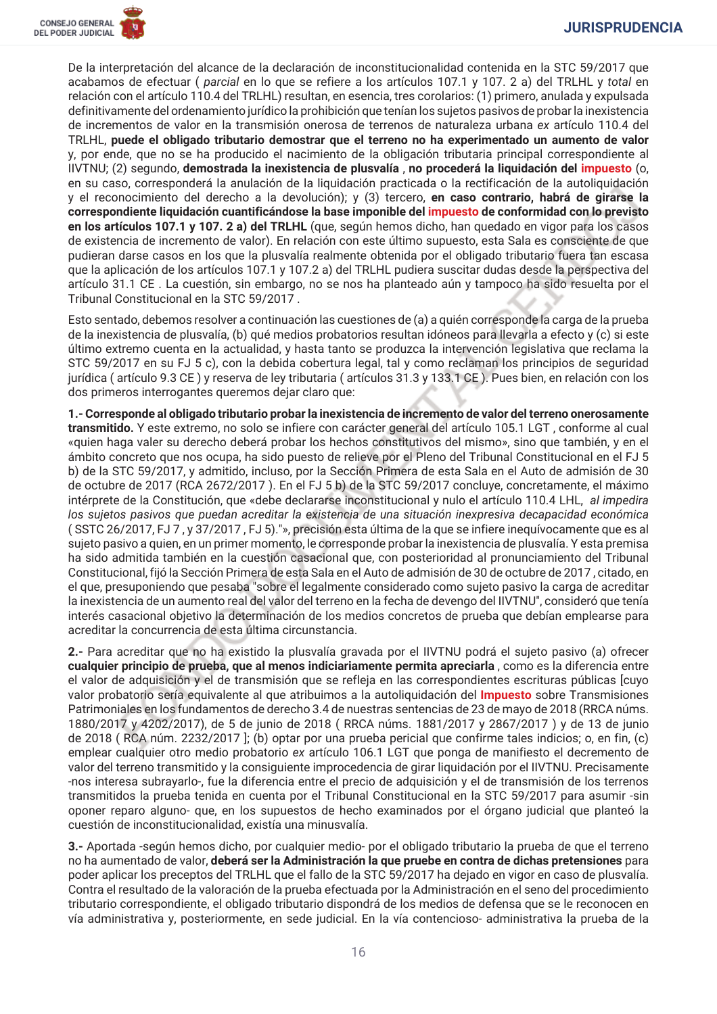

De la interpretación del alcance de la declaración de inconstitucionalidad contenida en la STC 59/2017 que acabamos de efectuar (parcial en lo que se refiere a los artículos 107.1 y 107. 2 a) del TRLHL y total en relación con el artículo 110.4 del TRLHL) resultan, en esencia, tres corolarios: (1) primero, anulada y expulsada definitivamente del ordenamiento jurídico la prohibición que tenían los sujetos pasivos de probar la inexistencia de incrementos de valor en la transmisión onerosa de terrenos de naturaleza urbana ex artículo 110.4 del TRLHL, puede el obligado tributario demostrar que el terreno no ha experimentado un aumento de valor y, por ende, que no se ha producido el nacimiento de la obligación tributaria principal correspondiente al IIVTNU: (2) segundo, demostrada la inexistencia de plusvalía, no procederá la liguidación del impuesto (o. en su caso, corresponderá la anulación de la liquidación practicada o la rectificación de la autoliquidación y el reconocimiento del derecho a la devolución); y (3) tercero, en caso contrario, habrá de girarse la correspondiente liquidación cuantificándose la base imponible del impuesto de conformidad con lo previsto en los artículos 107.1 y 107. 2 a) del TRLHL (que, según hemos dicho, han quedado en vigor para los casos de existencia de incremento de valor). En relación con este último supuesto, esta Sala es consciente de que pudieran darse casos en los que la plusvalía realmente obtenida por el obligado tributario fuera tan escasa que la aplicación de los artículos 107.1 y 107.2 a) del TRLHL pudiera suscitar dudas desde la perspectiva del artículo 31.1 CE. La cuestión, sin embargo, no se nos ha planteado aún y tampoco ha sido resuelta por el Tribunal Constitucional en la STC 59/2017.

Esto sentado, debemos resolver a continuación las cuestiones de (a) a quién corresponde la carga de la prueba de la inexistencia de plusvalía, (b) qué medios probatorios resultan idóneos para llevarla a efecto y (c) si este último extremo cuenta en la actualidad, y hasta tanto se produzca la intervención legislativa que reclama la STC 59/2017 en su FJ 5 c), con la debida cobertura legal, tal y como reclaman los principios de seguridad jurídica (artículo 9.3 CE) y reserva de ley tributaria (artículos 31.3 y 133.1 CE). Pues bien, en relación con los dos primeros interrogantes queremos dejar claro que:

1.- Corresponde al obligado tributario probar la inexistencia de incremento de valor del terreno onerosamente transmitido. Y este extremo, no solo se infiere con carácter general del artículo 105.1 LGT, conforme al cual «quien haga valer su derecho deberá probar los hechos constitutivos del mismo», sino que también, y en el ámbito concreto que nos ocupa, ha sido puesto de relieve por el Pleno del Tribunal Constitucional en el FJ 5 b) de la STC 59/2017, y admitido, incluso, por la Sección Primera de esta Sala en el Auto de admisión de 30 de octubre de 2017 (RCA 2672/2017). En el FJ 5 b) de la STC 59/2017 concluye, concretamente, el máximo intérprete de la Constitución, que «debe declararse inconstitucional y nulo el artículo 110.4 LHL, al impedira los sujetos pasivos que puedan acreditar la existencia de una situación inexpresiva decapacidad económica (SSTC 26/2017, FJ 7, y 37/2017, FJ 5). "», precisión esta última de la que se infiere inequívocamente que es al sujeto pasivo a quien, en un primer momento, le corresponde probar la inexistencia de plusvalía. Y esta premisa ha sido admitida también en la cuestión casacional que, con posterioridad al pronunciamiento del Tribunal Constitucional, fijó la Sección Primera de esta Sala en el Auto de admisión de 30 de octubre de 2017, citado, en el que, presuponiendo que pesaba "sobre el legalmente considerado como sujeto pasivo la carga de acreditar la inexistencia de un aumento real del valor del terreno en la fecha de devengo del IIVTNU", consideró que tenía interés casacional objetivo la determinación de los medios concretos de prueba que debían emplearse para acreditar la concurrencia de esta última circunstancia.

2.- Para acreditar que no ha existido la plusvalía gravada por el IIVTNU podrá el sujeto pasivo (a) ofrecer cualquier principio de prueba, que al menos indiciariamente permita apreciarla, como es la diferencia entre el valor de adquisición y el de transmisión que se refleja en las correspondientes escrituras públicas [cuyo valor probatorio sería equivalente al que atribuimos a la autoliquidación del **Impuesto** sobre Transmisiones Patrimoniales en los fundamentos de derecho 3.4 de nuestras sentencias de 23 de mayo de 2018 (RRCA núms. 1880/2017 y 4202/2017), de 5 de junio de 2018 (RRCA núms. 1881/2017 y 2867/2017) y de 13 de junio de 2018 (RCA núm. 2232/2017); (b) optar por una prueba pericial que confirme tales indicios; o, en fin, (c) emplear cualquier otro medio probatorio ex artículo 106.1 LGT que ponga de manifiesto el decremento de valor del terreno transmitido y la consiguiente improcedencia de girar liguidación por el IIVTNU. Precisamente -nos interesa subrayarlo-, fue la diferencia entre el precio de adquisición y el de transmisión de los terrenos transmitidos la prueba tenida en cuenta por el Tribunal Constitucional en la STC 59/2017 para asumir -sin oponer reparo alguno- que, en los supuestos de hecho examinados por el órgano judicial que planteó la cuestión de inconstitucionalidad, existía una minusvalía.

3.- Aportada -según hemos dicho, por cualquier medio- por el obligado tributario la prueba de que el terreno no ha aumentado de valor, deberá ser la Administración la que pruebe en contra de dichas pretensiones para poder aplicar los preceptos del TRLHL que el fallo de la STC 59/2017 ha dejado en vigor en caso de plusvalía. Contra el resultado de la valoración de la prueba efectuada por la Administración en el seno del procedimiento tributario correspondiente, el obligado tributario dispondrá de los medios de defensa que se le reconocen en vía administrativa y, posteriormente, en sede judicial. En la vía contencioso- administrativa la prueba de la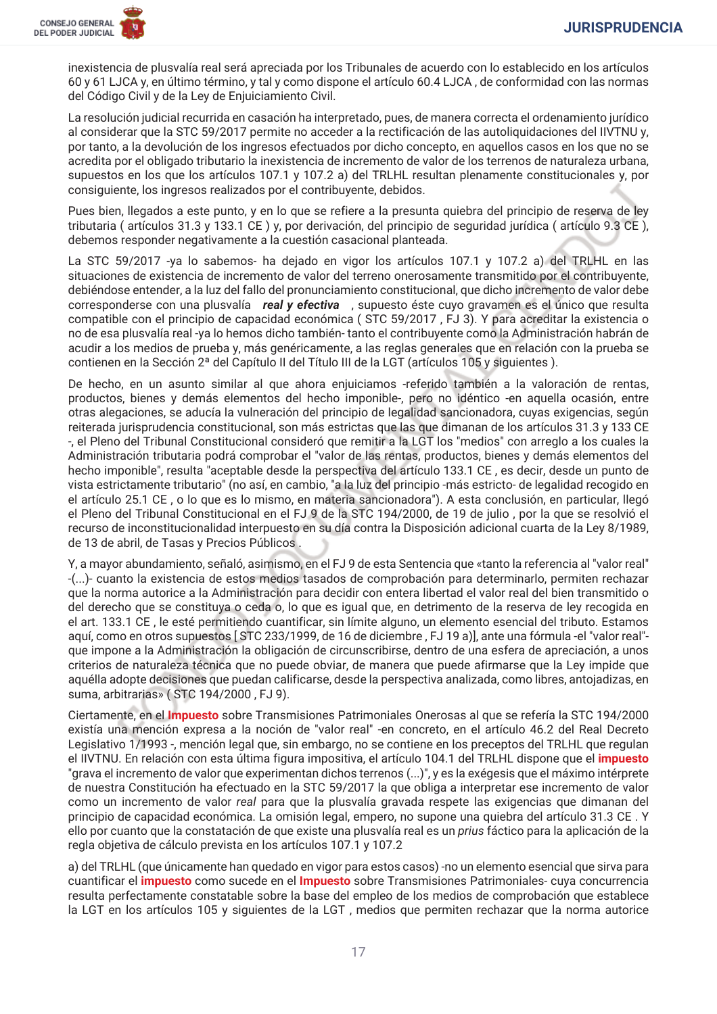inexistencia de plusvalía real será apreciada por los Tribunales de acuerdo con lo establecido en los artículos 60 y 61 LJCA y, en último término, y tal y como dispone el artículo 60.4 LJCA, de conformidad con las normas del Código Civil y de la Ley de Enjuiciamiento Civil.

La resolución judicial recurrida en casación ha interpretado, pues, de manera correcta el ordenamiento jurídico al considerar que la STC 59/2017 permite no acceder a la rectificación de las autoliquidaciones del IIVTNU y, por tanto, a la devolución de los ingresos efectuados por dicho concepto, en aquellos casos en los que no se acredita por el obligado tributario la inexistencia de incremento de valor de los terrenos de naturaleza urbana, supuestos en los que los artículos 107.1 y 107.2 a) del TRLHL resultan plenamente constitucionales y, por consiguiente, los ingresos realizados por el contribuyente, debidos.

Pues bien, llegados a este punto, y en lo que se refiere a la presunta quiebra del principio de reserva de ley tributaria (artículos 31.3 y 133.1 CE) y, por derivación, del principio de seguridad jurídica (artículo 9.3 CE), debemos responder negativamente a la cuestión casacional planteada.

La STC 59/2017 -ya lo sabemos- ha dejado en vigor los artículos 107.1 y 107.2 a) del TRLHL en las situaciones de existencia de incremento de valor del terreno onerosamente transmitido por el contribuyente, debiéndose entender, a la luz del fallo del pronunciamiento constitucional, que dicho incremento de valor debe corresponderse con una plusvalía real y efectiva, supuesto éste cuyo gravamen es el único que resulta compatible con el principio de capacidad económica (STC 59/2017, FJ 3). Y para acreditar la existencia o no de esa plusvalía real -ya lo hemos dicho también- tanto el contribuyente como la Administración habrán de acudir a los medios de prueba y, más genéricamente, a las reglas generales que en relación con la prueba se contienen en la Sección 2ª del Capítulo II del Título III de la LGT (artículos 105 y siguientes).

De hecho, en un asunto similar al que ahora enjuiciamos -referido también a la valoración de rentas, productos, bienes y demás elementos del hecho imponible-, pero no idéntico -en aquella ocasión, entre otras alegaciones, se aducía la vulneración del principio de legalidad sancionadora, cuyas exigencias, según reiterada jurisprudencia constitucional, son más estrictas que las que dimanan de los artículos 31.3 y 133 CE -, el Pleno del Tribunal Constitucional consideró que remitir a la LGT los "medios" con arreglo a los cuales la Administración tributaria podrá comprobar el "valor de las rentas, productos, bienes y demás elementos del hecho imponible", resulta "aceptable desde la perspectiva del artículo 133.1 CE, es decir, desde un punto de vista estrictamente tributario" (no así, en cambio, "a la luz del principio -más estricto- de legalidad recogido en el artículo 25.1 CE, o lo que es lo mismo, en materia sancionadora"). A esta conclusión, en particular, llegó el Pleno del Tribunal Constitucional en el FJ 9 de la STC 194/2000, de 19 de julio, por la que se resolvió el recurso de inconstitucionalidad interpuesto en su día contra la Disposición adicional cuarta de la Ley 8/1989, de 13 de abril, de Tasas y Precios Públicos.

Y, a mayor abundamiento, señaló, asimismo, en el FJ 9 de esta Sentencia que «tanto la referencia al "valor real" -(...)- cuanto la existencia de estos medios tasados de comprobación para determinarlo, permiten rechazar que la norma autorice a la Administración para decidir con entera libertad el valor real del bien transmitido o del derecho que se constituya o ceda o, lo que es igual que, en detrimento de la reserva de ley recogida en el art. 133.1 CE, le esté permitiendo cuantificar, sin límite alguno, un elemento esencial del tributo. Estamos aquí, como en otros supuestos [STC 233/1999, de 16 de diciembre, FJ 19 a)], ante una fórmula -el "valor real"que impone a la Administración la obligación de circunscribirse, dentro de una esfera de apreciación, a unos criterios de naturaleza técnica que no puede obviar, de manera que puede afirmarse que la Ley impide que aquélla adopte decisiones que puedan calificarse, desde la perspectiva analizada, como libres, antoiadizas, en suma, arbitrarias» (STC 194/2000, FJ 9).

Ciertamente, en el *Impuesto* sobre Transmisiones Patrimoniales Onerosas al que se refería la STC 194/2000 existía una mención expresa a la noción de "valor real" -en concreto, en el artículo 46.2 del Real Decreto Legislativo 1/1993 -, mención legal que, sin embargo, no se contiene en los preceptos del TRLHL que regulan el IIVTNU. En relación con esta última figura impositiva, el artículo 104.1 del TRLHL dispone que el *impuesto* "grava el incremento de valor que experimentan dichos terrenos (...)", y es la exégesis que el máximo intérprete de nuestra Constitución ha efectuado en la STC 59/2017 la que obliga a interpretar ese incremento de valor como un incremento de valor real para que la plusvalía gravada respete las exigencias que dimanan del principio de capacidad económica. La omisión legal, empero, no supone una quiebra del artículo 31.3 CE. Y ello por cuanto que la constatación de que existe una plusvalía real es un *prius* fáctico para la aplicación de la regla objetiva de cálculo prevista en los artículos 107.1 y 107.2

a) del TRLHL (que únicamente han quedado en vigor para estos casos) -no un elemento esencial que sirva para cuantificar el *impuesto* como sucede en el *Impuesto* sobre Transmisiones Patrimoniales-cuya concurrencia resulta perfectamente constatable sobre la base del empleo de los medios de comprobación que establece la LGT en los artículos 105 y siguientes de la LGT, medios que permiten rechazar que la norma autorice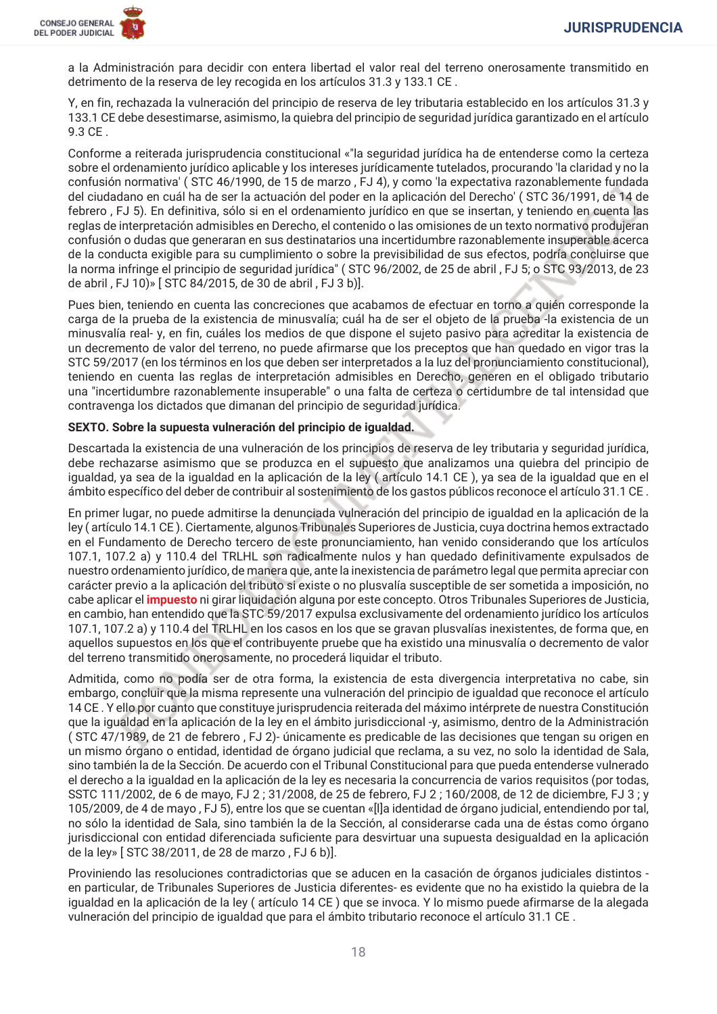a la Administración para decidir con entera libertad el valor real del terreno onerosamente transmitido en detrimento de la reserva de lev recogida en los artículos 31.3 y 133.1 CE.

Y, en fin, rechazada la vulneración del principio de reserva de ley tributaria establecido en los artículos 31.3 y 133.1 CE debe desestimarse, asimismo, la quiebra del principio de seguridad jurídica garantizado en el artículo 9.3 CE.

Conforme a reiterada jurisprudencia constitucional «"la seguridad jurídica ha de entenderse como la certeza sobre el ordenamiento jurídico aplicable y los intereses jurídicamente tutelados, procurando 'la claridad y no la confusión normativa' (STC 46/1990, de 15 de marzo, FJ 4), y como 'la expectativa razonablemente fundada del ciudadano en cuál ha de ser la actuación del poder en la aplicación del Derecho' (STC 36/1991, de 14 de febrero, FJ 5). En definitiva, sólo si en el ordenamiento jurídico en que se insertan, y teniendo en cuenta las reglas de interpretación admisibles en Derecho, el contenido o las omisiones de un texto normativo produjeran confusión o dudas que generaran en sus destinatarios una incertidumbre razonablemente insuperable acerca de la conducta exigible para su cumplimiento o sobre la previsibilidad de sus efectos, podría concluirse que la norma infringe el principio de seguridad jurídica" (STC 96/2002, de 25 de abril, FJ 5; o STC 93/2013, de 23 de abril, FJ 10)» [STC 84/2015, de 30 de abril, FJ 3 b)].

Pues bien, teniendo en cuenta las concreciones que acabamos de efectuar en torno a quién corresponde la carga de la prueba de la existencia de minusvalía; cuál ha de ser el objeto de la prueba -la existencia de un minusvalía real-y, en fin, cuáles los medios de que dispone el sujeto pasivo para acreditar la existencia de un decremento de valor del terreno, no puede afirmarse que los preceptos que han quedado en vigor tras la STC 59/2017 (en los términos en los que deben ser interpretados a la luz del pronunciamiento constitucional), teniendo en cuenta las reglas de interpretación admisibles en Derecho, generen en el obligado tributario una "incertidumbre razonablemente insuperable" o una falta de certeza o certidumbre de tal intensidad que contravenga los dictados que dimanan del principio de seguridad jurídica.

## SEXTO. Sobre la supuesta vulneración del principio de igualdad.

Descartada la existencia de una vulneración de los principios de reserva de ley tributaria y seguridad jurídica, debe rechazarse asimismo que se produzca en el supuesto que analizamos una quiebra del principio de igualdad, ya sea de la igualdad en la aplicación de la ley (artículo 14.1 CE), ya sea de la igualdad que en el ámbito específico del deber de contribuir al sostenimiento de los gastos públicos reconoce el artículo 31.1 CE.

En primer lugar, no puede admitirse la denunciada vulneración del principio de igualdad en la aplicación de la ley (artículo 14.1 CE). Ciertamente, algunos Tribunales Superiores de Justicia, cuya doctrina hemos extractado en el Fundamento de Derecho tercero de este pronunciamiento, han venido considerando que los artículos 107.1, 107.2 a) y 110.4 del TRLHL son radicalmente nulos y han quedado definitivamente expulsados de nuestro ordenamiento jurídico, de manera que, ante la inexistencia de parámetro legal que permita apreciar con carácter previo a la aplicación del tributo si existe o no plusvalía susceptible de ser sometida a imposición, no cabe aplicar el *impuesto* ni girar liquidación alguna por este concepto. Otros Tribunales Superiores de Justicia, en cambio, han entendido que la STC 59/2017 expulsa exclusivamente del ordenamiento jurídico los artículos 107.1, 107.2 a) y 110.4 del TRLHL en los casos en los que se gravan plusvalías inexistentes, de forma que, en aquellos supuestos en los que el contribuyente pruebe que ha existido una minusvalía o decremento de valor del terreno transmitido onerosamente, no procederá liquidar el tributo.

Admitida, como no podía ser de otra forma, la existencia de esta divergencia interpretativa no cabe, sin embargo, concluir que la misma represente una vulneración del principio de igualdad que reconoce el artículo 14 CE. Y ello por cuanto que constituye jurisprudencia reiterada del máximo intérprete de nuestra Constitución que la igualdad en la aplicación de la ley en el ámbito jurisdiccional -y, asimismo, dentro de la Administración (STC 47/1989, de 21 de febrero, FJ 2)- únicamente es predicable de las decisiones que tengan su origen en un mismo órgano o entidad, identidad de órgano judicial que reclama, a su vez, no solo la identidad de Sala, sino también la de la Sección. De acuerdo con el Tribunal Constitucional para que pueda entenderse vulnerado el derecho a la igualdad en la aplicación de la ley es necesaria la concurrencia de varios reguisitos (por todas, SSTC 111/2002, de 6 de mayo, FJ 2; 31/2008, de 25 de febrero, FJ 2; 160/2008, de 12 de diciembre, FJ 3; y 105/2009, de 4 de mayo, FJ 5), entre los que se cuentan «[l]a identidad de órgano judicial, entendiendo por tal, no sólo la identidad de Sala, sino también la de la Sección, al considerarse cada una de éstas como órgano jurisdiccional con entidad diferenciada suficiente para desvirtuar una supuesta desigualdad en la aplicación de la ley» [STC 38/2011, de 28 de marzo, FJ 6 b)].

Proviniendo las resoluciones contradictorias que se aducen en la casación de órganos judiciales distintos en particular, de Tribunales Superiores de Justicia diferentes- es evidente que no ha existido la quiebra de la igualdad en la aplicación de la ley (artículo 14 CE) que se invoca. Y lo mismo puede afirmarse de la alegada vulneración del principio de igualdad que para el ámbito tributario reconoce el artículo 31.1 CE.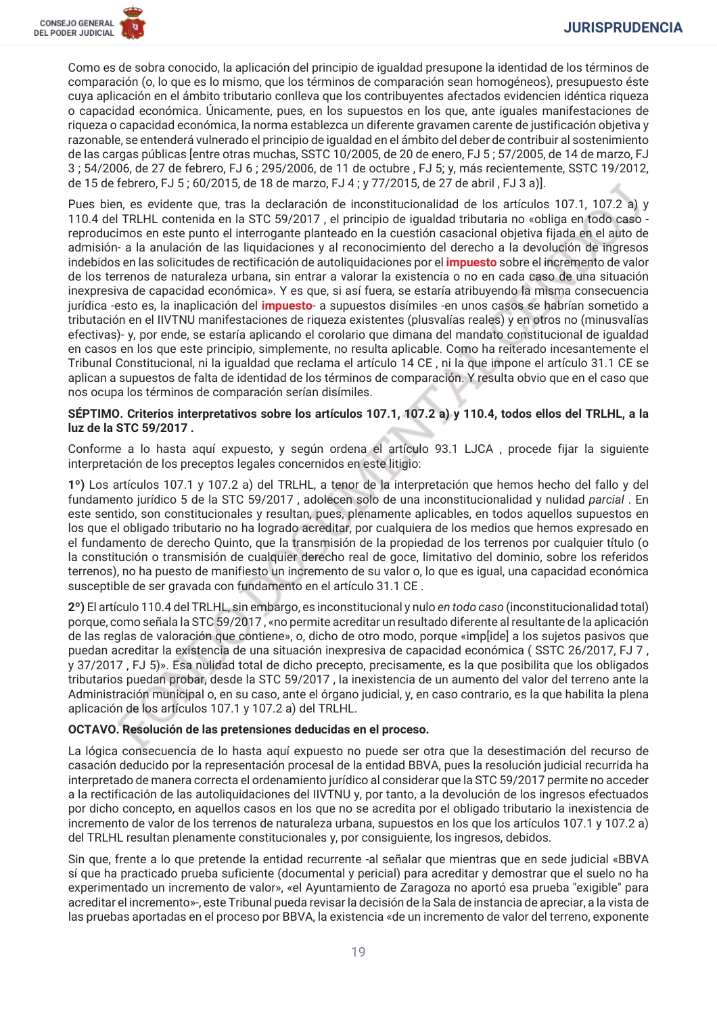Como es de sobra conocido, la aplicación del principio de joualdad presupone la identidad de los términos de comparación (o, lo que es lo mismo, que los términos de comparación sean homogéneos), presupuesto éste cuya aplicación en el ámbito tributario conlleva que los contribuyentes afectados evidencien idéntica riqueza o capacidad económica. Únicamente, pues, en los supuestos en los que, ante iguales manifestaciones de riqueza o capacidad económica, la norma establezca un diferente gravamen carente de justificación objetiva y razonable, se entenderá vulnerado el principio de jqualdad en el ámbito del deber de contribuir al sostenimiento de las cargas públicas lentre otras muchas, SSTC 10/2005, de 20 de enero, FJ 5: 57/2005, de 14 de marzo, FJ 3:54/2006, de 27 de febrero, FJ 6:295/2006, de 11 de octubre, FJ 5: v, más recientemente, SSTC 19/2012, de 15 de febrero, FJ 5; 60/2015, de 18 de marzo, FJ 4; y 77/2015, de 27 de abril, FJ 3 a)].

Pues bien, es evidente que, tras la declaración de inconstitucionalidad de los artículos 107.1, 107.2 a) y 110.4 del TRLHL contenida en la STC 59/2017, el principio de igualdad tributaria no «obliga en todo caso reproducimos en este punto el interrogante planteado en la cuestión casacional objetiva fijada en el auto de admisión- a la anulación de las liquidaciones y al reconocimiento del derecho a la devolución de ingresos indebidos en las solicitudes de rectificación de autoliquidaciones por el *impuesto* sobre el incremento de valor de los terrenos de naturaleza urbana, sin entrar a valorar la existencia o no en cada caso de una situación inexpresiva de capacidad económica». Y es que, si así fuera, se estaría atribuyendo la misma consecuencia jurídica -esto es, la inaplicación del *impuesto*- a supuestos disímiles -en unos casos se habrían sometido a tributación en el IIVTNU manifestaciones de riqueza existentes (plusvalías reales) y en otros no (minusvalías efectivas)- y, por ende, se estaría aplicando el corolario que dimana del mandato constitucional de igualdad en casos en los que este principio, simplemente, no resulta aplicable. Como ha reiterado incesantemente el Tribunal Constitucional, ni la igualdad que reclama el artículo 14 CE, ni la que impone el artículo 31.1 CE se aplican a supuestos de falta de identidad de los términos de comparación. Y resulta obvio que en el caso que nos ocupa los términos de comparación serían disímiles.

### SÉPTIMO. Criterios interpretativos sobre los artículos 107.1, 107.2 a) y 110.4, todos ellos del TRLHL, a la luz de la STC 59/2017.

Conforme a lo hasta aquí expuesto, y según ordena el artículo 93.1 LJCA, procede fijar la siguiente interpretación de los preceptos legales concernidos en este litigio:

1º) Los artículos 107.1 y 107.2 a) del TRLHL, a tenor de la interpretación que hemos hecho del fallo y del fundamento jurídico 5 de la STC 59/2017, adolecen solo de una inconstitucionalidad y nulidad parcial. En este sentido, son constitucionales y resultan, pues, plenamente aplicables, en todos aquellos supuestos en los que el obligado tributario no ha logrado acreditar, por cualquiera de los medios que hemos expresado en el fundamento de derecho Quinto, que la transmisión de la propiedad de los terrenos por cualquier título (o la constitución o transmisión de cualquier derecho real de goce, limitativo del dominio, sobre los referidos terrenos), no ha puesto de manifiesto un incremento de su valor o, lo que es igual, una capacidad económica susceptible de ser gravada con fundamento en el artículo 31.1 CE.

2°) El artículo 110.4 del TRLHL, sin embargo, es inconstitucional y nulo en todo caso (inconstitucionalidad total) porque, como señala la STC 59/2017, «no permite acreditar un resultado diferente al resultante de la aplicación de las reglas de valoración que contiene», o, dicho de otro modo, porque «imp[ide] a los sujetos pasivos que puedan acreditar la existencia de una situación inexpresiva de capacidad económica (SSTC 26/2017, FJ 7, y 37/2017, FJ 5)». Esa nulidad total de dicho precepto, precisamente, es la que posibilita que los obligados tributarios puedan probar, desde la STC 59/2017, la inexistencia de un aumento del valor del terreno ante la Administración municipal o, en su caso, ante el órgano judicial, y, en caso contrario, es la que habilita la plena aplicación de los artículos 107.1 y 107.2 a) del TRLHL.

## OCTAVO. Resolución de las pretensiones deducidas en el proceso.

La lógica consecuencia de lo hasta aquí expuesto no puede ser otra que la desestimación del recurso de casación deducido por la representación procesal de la entidad BBVA, pues la resolución judicial recurrida ha interpretado de manera correcta el ordenamiento jurídico al considerar que la STC 59/2017 permite no acceder a la rectificación de las autoliquidaciones del IIVTNU y, por tanto, a la devolución de los ingresos efectuados por dicho concepto, en aquellos casos en los que no se acredita por el obligado tributario la inexistencia de incremento de valor de los terrenos de naturaleza urbana, supuestos en los que los artículos 107.1 y 107.2 a) del TRLHL resultan plenamente constitucionales y, por consiguiente, los ingresos, debidos.

Sin que, frente a lo que pretende la entidad recurrente -al señalar que mientras que en sede judicial «BBVA sí que ha practicado prueba suficiente (documental y pericial) para acreditar y demostrar que el suelo no ha experimentado un incremento de valor», «el Ayuntamiento de Zaragoza no aportó esa prueba "exigible" para acreditar el incremento»-, este Tribunal pueda revisar la decisión de la Sala de instancia de apreciar, a la vista de las pruebas aportadas en el proceso por BBVA, la existencia «de un incremento de valor del terreno, exponente